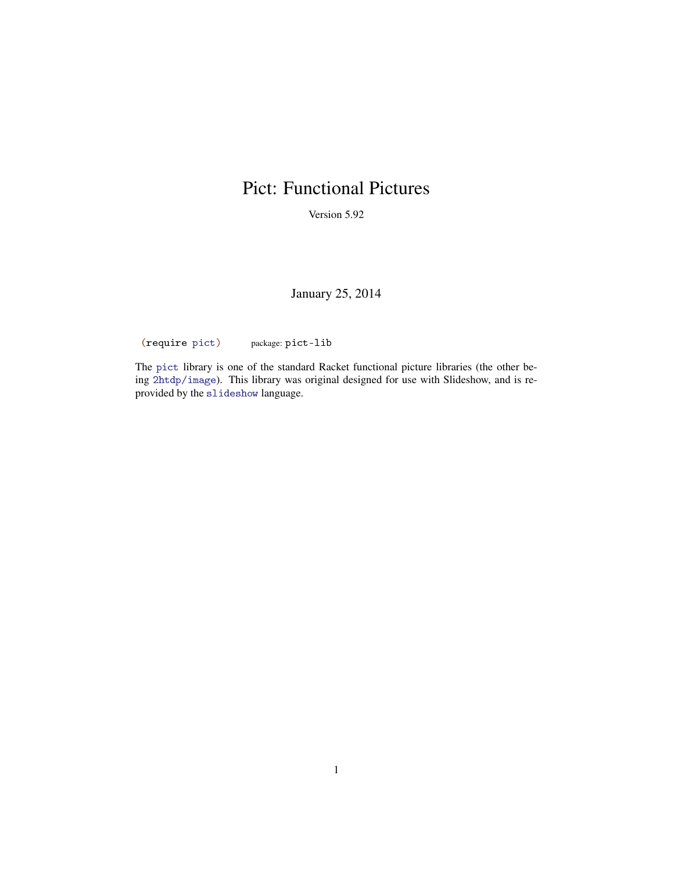# Pict: Functional Pictures

Version 5.92

January 25, 2014

(require pict) package: pict-lib

The pict library is one of the standard Racket functional picture libraries (the other being 2htdp/image). This library was original designed for use with Slideshow, and is reprovided by the slideshow language.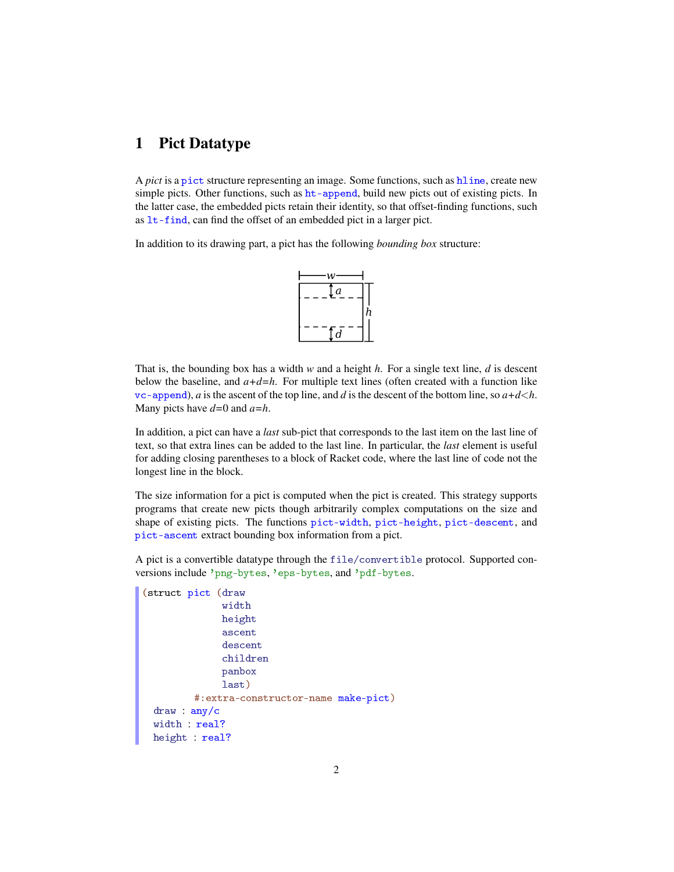# 1 Pict Datatype

A *pict* is a pict structure representing an image. Some functions, such as hline, create new simple picts. Other functions, such as ht-append, build new picts out of existing picts. In the latter case, the embedded picts retain their identity, so that offset-finding functions, such as lt-find, can find the offset of an embedded pict in a larger pict.

In addition to its drawing part, a pict has the following *bounding box* structure:



That is, the bounding box has a width *w* and a height *h*. For a single text line, *d* is descent below the baseline, and  $a+d=h$ . For multiple text lines (often created with a function like vc-append), *a* is the ascent of the top line, and *d* is the descent of the bottom line, so  $a+d < h$ . Many picts have *d=*0 and *a=h*.

In addition, a pict can have a *last* sub-pict that corresponds to the last item on the last line of text, so that extra lines can be added to the last line. In particular, the *last* element is useful for adding closing parentheses to a block of Racket code, where the last line of code not the longest line in the block.

The size information for a pict is computed when the pict is created. This strategy supports programs that create new picts though arbitrarily complex computations on the size and shape of existing picts. The functions pict-width, pict-height, pict-descent, and pict-ascent extract bounding box information from a pict.

A pict is a convertible datatype through the file/convertible protocol. Supported conversions include 'png-bytes, 'eps-bytes, and 'pdf-bytes.

```
(struct pict (draw
              width
              height
              ascent
              descent
              children
              panbox
              last)
         #:extra-constructor-name make-pict)
 draw : any/c
 width : real?
 height : real?
```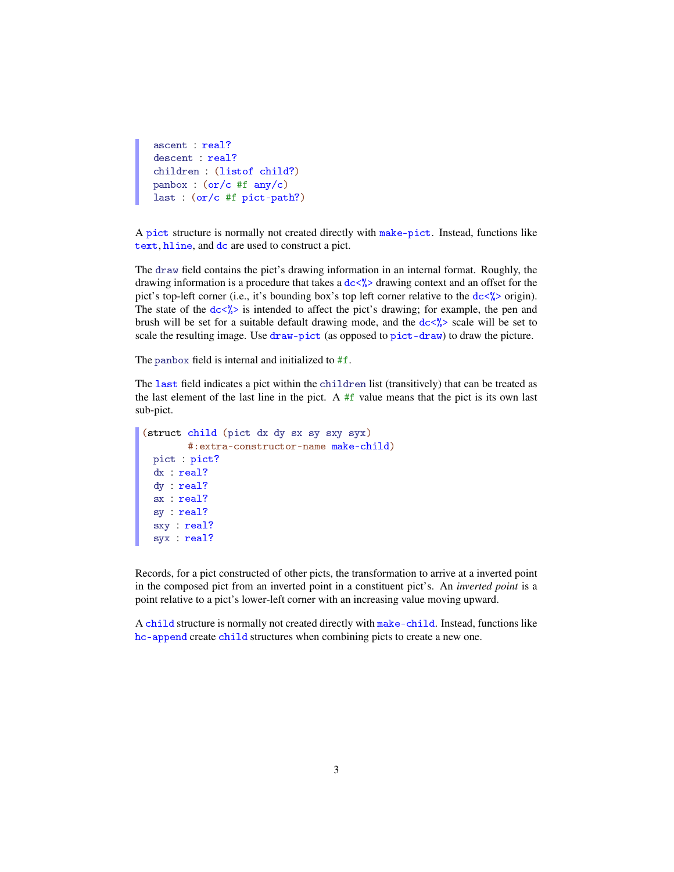```
ascent : real?
descent : real?
children : (listof child?)
panbox : (or/c #f any/c)
last : (or/c #f pict-path?)
```
A pict structure is normally not created directly with make-pict. Instead, functions like text, hline, and dc are used to construct a pict.

The draw field contains the pict's drawing information in an internal format. Roughly, the drawing information is a procedure that takes a  $dc\langle\!\langle\rangle$  drawing context and an offset for the pict's top-left corner (i.e., it's bounding box's top left corner relative to the  $dc\frac{\sqrt{2}}{2}$  origin). The state of the  $dc\langle\!\langle \cdot \rangle$  is intended to affect the pict's drawing; for example, the pen and brush will be set for a suitable default drawing mode, and the  $dc\frac{\partial}{\partial s}$  scale will be set to scale the resulting image. Use draw-pict (as opposed to pict-draw) to draw the picture.

The panbox field is internal and initialized to #f.

The last field indicates a pict within the children list (transitively) that can be treated as the last element of the last line in the pict. A  $#f$  value means that the pict is its own last sub-pict.

```
(struct child (pict dx dy sx sy sxy syx)
        #:extra-constructor-name make-child)
 pict : pict?
 dx : real?
 dy : real?
 sx : real?
 sy : real?
  sxy : real?
  syx : real?
```
Records, for a pict constructed of other picts, the transformation to arrive at a inverted point in the composed pict from an inverted point in a constituent pict's. An *inverted point* is a point relative to a pict's lower-left corner with an increasing value moving upward.

A child structure is normally not created directly with make-child. Instead, functions like hc-append create child structures when combining picts to create a new one.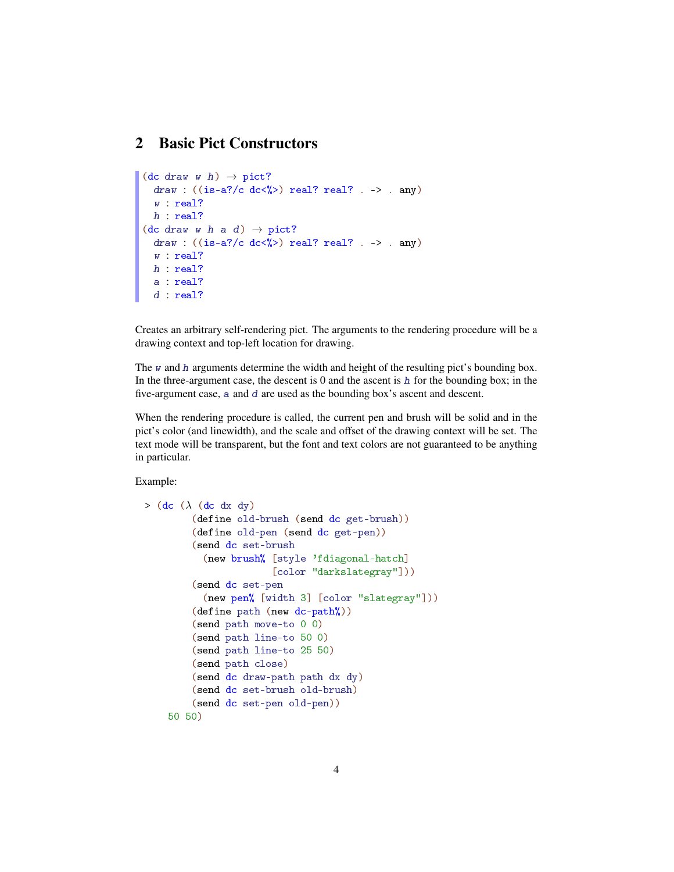## 2 Basic Pict Constructors

```
(\text{dc draw } w h) \rightarrow \text{pict?}draw : ((is-a?/c dc<%) real? real? . -> . any)
  w : real?
 h : real?
(dc draw w h a d) \rightarrow pict?
  draw : ((is-a? / c dc < \%) > real? real? ... > . any)w : real?
  h : real?
  a : real?
  d : real?
```
Creates an arbitrary self-rendering pict. The arguments to the rendering procedure will be a drawing context and top-left location for drawing.

The  $w$  and  $h$  arguments determine the width and height of the resulting pict's bounding box. In the three-argument case, the descent is  $0$  and the ascent is  $h$  for the bounding box; in the five-argument case, a and d are used as the bounding box's ascent and descent.

When the rendering procedure is called, the current pen and brush will be solid and in the pict's color (and linewidth), and the scale and offset of the drawing context will be set. The text mode will be transparent, but the font and text colors are not guaranteed to be anything in particular.

```
> (dc (\lambda (dc dx dy)
        (define old-brush (send dc get-brush))
        (define old-pen (send dc get-pen))
        (send dc set-brush
          (new brush% [style 'fdiagonal-hatch]
                       [color "darkslategray"]))
        (send dc set-pen
          (new pen% [width 3] [color "slategray"]))
        (define path (new dc-path%))
        (send path move-to 0 0)
        (send path line-to 50 0)
        (send path line-to 25 50)
        (send path close)
        (send dc draw-path path dx dy)
        (send dc set-brush old-brush)
        (send dc set-pen old-pen))
    50 50)
```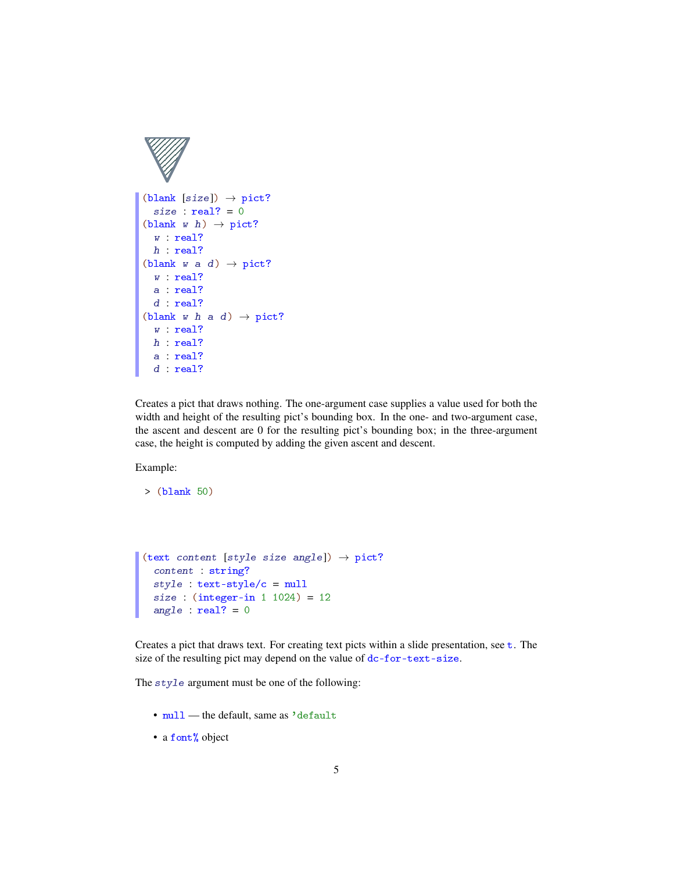

```
(blank [size]) \rightarrow pict?size : real? = 0(blank w h) \rightarrow pict?
  w : real?
 h : real?
(blank w a d) \rightarrow pict?
  w : real?
  a : real?
  d : real?
(blank w h a d) \rightarrow pict?
  w : real?
 h : real?
  a : real?
 d : real?
```
Creates a pict that draws nothing. The one-argument case supplies a value used for both the width and height of the resulting pict's bounding box. In the one- and two-argument case, the ascent and descent are 0 for the resulting pict's bounding box; in the three-argument case, the height is computed by adding the given ascent and descent.

Example:

```
> (blank 50)
```

```
(text content [style size angle]) \rightarrow pict?
 content : string?
style : text-style/c = null
 size : (integer-in 1 1024) = 12
 angle : real? = 0
```
Creates a pict that draws text. For creating text picts within a slide presentation, see t. The size of the resulting pict may depend on the value of dc-for-text-size.

The style argument must be one of the following:

- null the default, same as 'default
- a font% object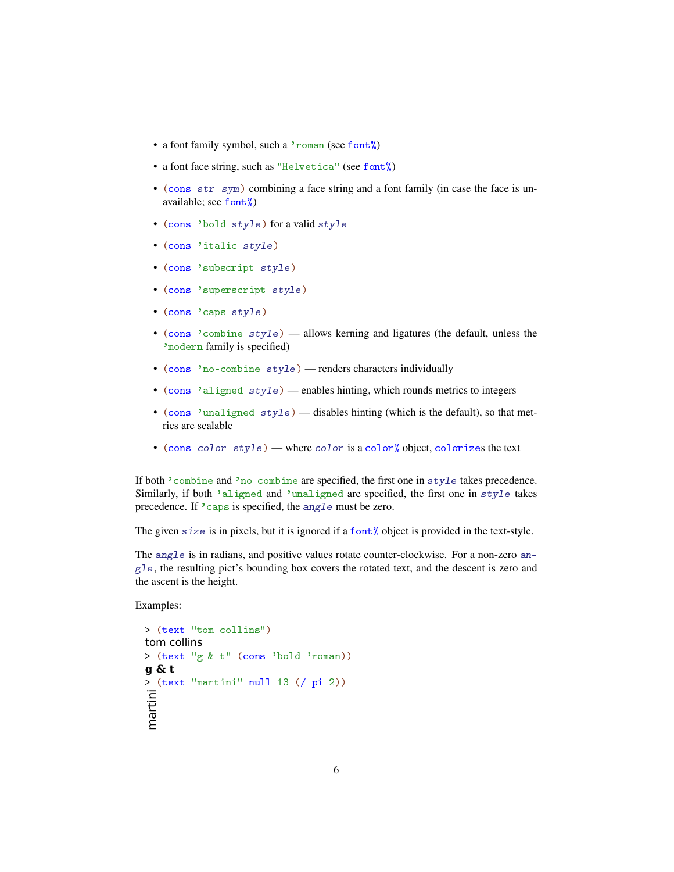- a font family symbol, such a 'roman (see font%)
- a font face string, such as "Helvetica" (see font")
- (cons str sym) combining a face string and a font family (in case the face is unavailable; see font%)
- (cons 'bold style) for a valid style
- (cons 'italic style)
- (cons 'subscript style)
- (cons 'superscript style)
- (cons 'caps style)
- (cons 'combine style) allows kerning and ligatures (the default, unless the 'modern family is specified)
- (cons 'no-combine style) renders characters individually
- (cons 'aligned style) enables hinting, which rounds metrics to integers
- (cons 'unaligned  $style$ ) disables hinting (which is the default), so that metrics are scalable
- (cons color style) where color is a color% object, colorizes the text

If both 'combine and 'no-combine are specified, the first one in style takes precedence. Similarly, if both 'aligned and 'unaligned are specified, the first one in style takes precedence. If 'caps is specified, the angle must be zero.

The given size is in pixels, but it is ignored if a font<sup>%</sup>, object is provided in the text-style.

The angle is in radians, and positive values rotate counter-clockwise. For a non-zero an $g1e$ , the resulting pict's bounding box covers the rotated text, and the descent is zero and the ascent is the height.

```
> (text "tom collins")
tom collins
> (text "g & t" (cons 'bold 'roman))
g & t
> (text "martini" null 13 (/ pi 2))
martini
```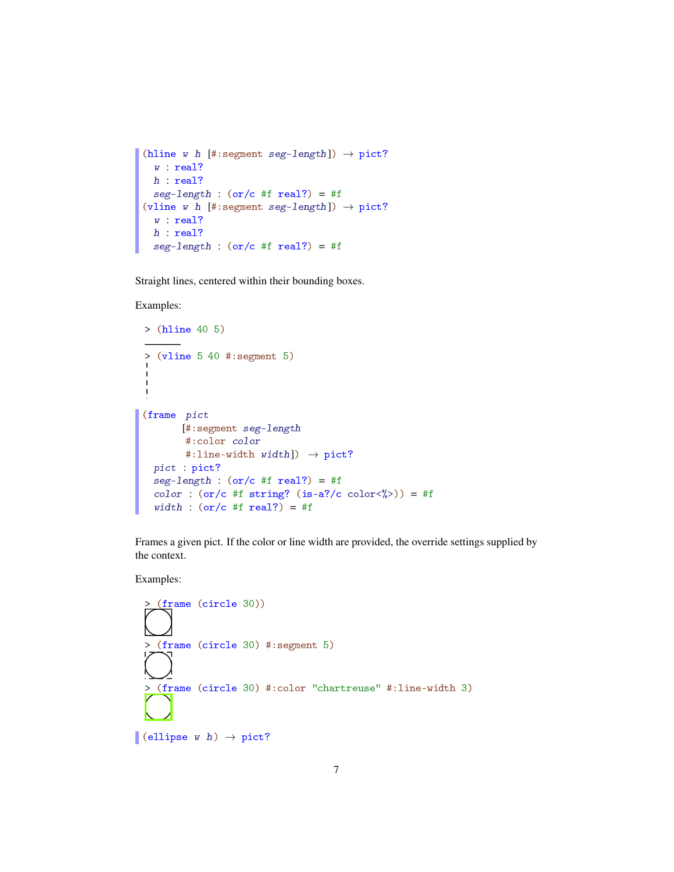```
(hline w h [#:segment seg-length]) \rightarrow pict?
  w : real?
  h : real?
 seg-length : (or/c #f real?) = #f(vline w h [#:segment seg-length]) \rightarrow pict?
  w : real?
  h : real?
  seg-length : (or/c #f real?) = #f
```
Straight lines, centered within their bounding boxes.

Examples:

```
> (hline 40 5)
> (vline 5 40 #:segment 5)
(frame pict
       [#:segment seg-length
        #:color color
        #:line-width width]) \rightarrow pict?
 pict : pict?
  seg-length : (or/c #f real?) = #fcolor : (or/c #f string? (is-a]/c \text{ color} \langle x \rangle) = #fwidth : (or/c #f real?) = #f
```
Frames a given pict. If the color or line width are provided, the override settings supplied by the context.

```
> (frame (circle 30))
  > (frame (circle 30) #:segment 5)
   > (frame (circle 30) #:color "chartreuse" #:line-width 3)
(ellipse w h) \rightarrow pict?
```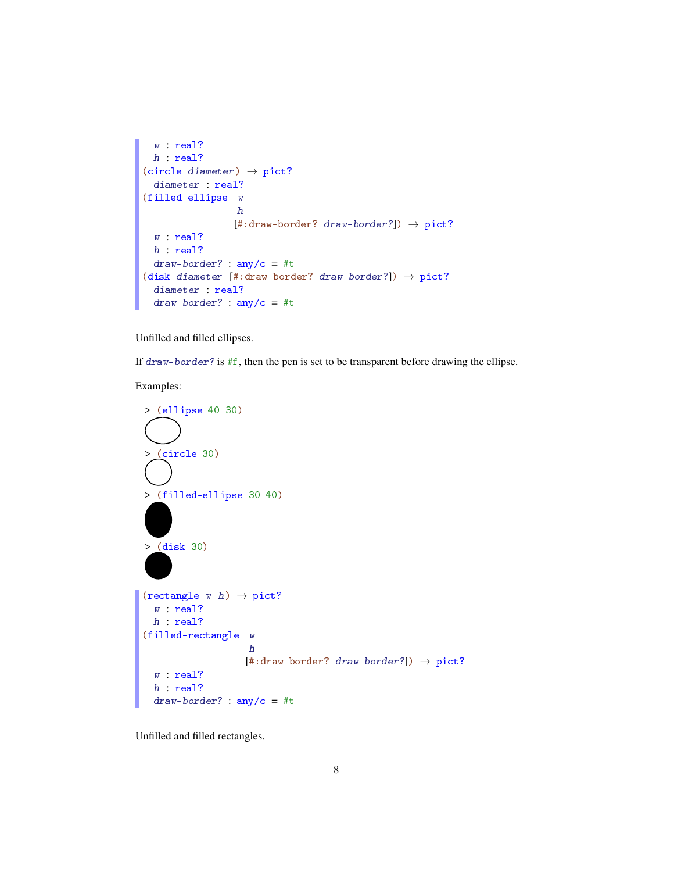```
w : real?
 h : real?
(circle diameter) \rightarrow pict?
 diameter : real?
(filled-ellipse w
                  h
                 [#:draw-border? draw-border?]) \rightarrow pict?
 w : real?
 h : real?
 draw-border? : any/c = #t(disk diameter [#:draw-border? draw-border?]) \rightarrow pict?
  diameter : real?
  draw-border? : any/c = #t
```
Unfilled and filled ellipses.

If draw-border? is #f, then the pen is set to be transparent before drawing the ellipse.

Examples:



Unfilled and filled rectangles.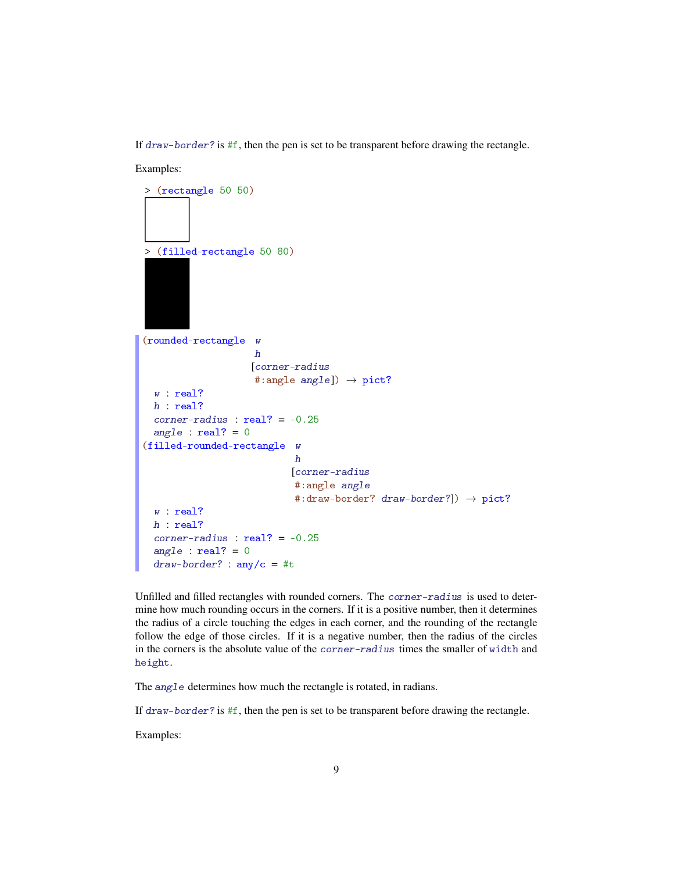If draw-border? is  $#f$ , then the pen is set to be transparent before drawing the rectangle.

Examples: > (rectangle 50 50) > (filled-rectangle 50 80) (rounded-rectangle w h [corner-radius #:angle angle])  $\rightarrow$  pict? w : real? h : real? corner-radius : real? = -0.25 angle :  $real? = 0$ (filled-rounded-rectangle w h [corner-radius #:angle angle #:draw-border? draw-border?])  $\rightarrow$  pict? w : real? h : real? corner-radius : real? = -0.25 angle :  $real? = 0$  $draw-border? : any/c = #t$ Unfilled and filled rectangles with rounded corners. The corner-radius is used to deter-

mine how much rounding occurs in the corners. If it is a positive number, then it determines the radius of a circle touching the edges in each corner, and the rounding of the rectangle follow the edge of those circles. If it is a negative number, then the radius of the circles in the corners is the absolute value of the corner-radius times the smaller of width and height.

The angle determines how much the rectangle is rotated, in radians.

If  $draw-border$ ? is  $#f$ , then the pen is set to be transparent before drawing the rectangle.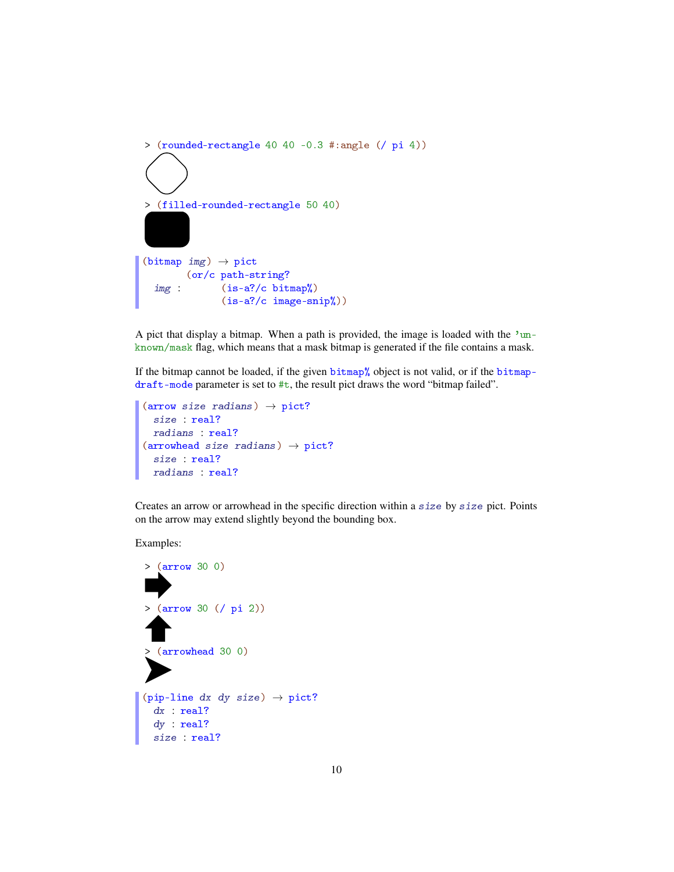```
> (rounded-rectangle 40 40 -0.3 #:angle (/ pi 4))
> (filled-rounded-rectangle 50 40)
(bitmap img) \rightarrow pictimg :
        (or/c path-string?
              (is-a?/c bitmap%)
              (is-a?/c image-snip%))
```
A pict that display a bitmap. When a path is provided, the image is loaded with the 'unknown/mask flag, which means that a mask bitmap is generated if the file contains a mask.

If the bitmap cannot be loaded, if the given  $\frac{\pi}{2}$  object is not valid, or if the bitmapdraft-mode parameter is set to  $\#t$ , the result pict draws the word "bitmap failed".

```
(arrow size radians) \rightarrow pict?
  size : real?
  radians : real?
(arrowhead size radians) \rightarrow pict?size : real?
  radians : real?
```
Creates an arrow or arrowhead in the specific direction within a size by size pict. Points on the arrow may extend slightly beyond the bounding box.

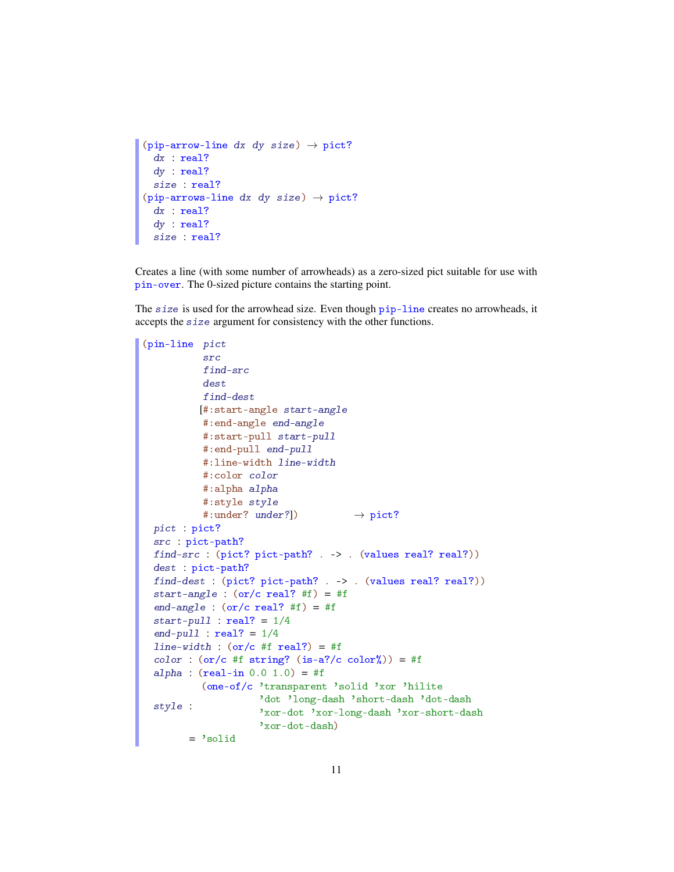```
(pip-arrow-line dx dy size) \rightarrow pict?
 dx : real?
 dy : real?
 size : real?
(pip-arrows-line dx dy size) \rightarrow pict?
 dx : real?
 dy : real?
  size : real?
```
Creates a line (with some number of arrowheads) as a zero-sized pict suitable for use with pin-over. The 0-sized picture contains the starting point.

The size is used for the arrowhead size. Even though pip-line creates no arrowheads, it accepts the size argument for consistency with the other functions.

```
(pin-line pict
          src
          find-src
          dest
          find-dest
         [#:start-angle start-angle
          #:end-angle end-angle
          #:start-pull start-pull
          #:end-pull end-pull
          #:line-width line-width
          #:color color
          #:alpha alpha
          #:style style
          #:under? under?]) \rightarrow pict?
 pict : pict?
 src : pict-path?
 find-src : (pict? pict-path? . -> . (values real? real?))
 dest : pict-path?
 find-dest : (pict? pict-path? . -> . (values real? real?))
 start-angle : (or/c real? #f) = #f
 end-angle : (or/c real? #f) = #f
 start-pull : real? = 1/4end-pull : real? = 1/4line-width : (or/c #f real?) = #fcolor (or/c #f string? (is-a?/c color%)) = #f
 alpha : (\text{real-in } 0.0 1.0) = #fstyle :
         (one-of/c 'transparent 'solid 'xor 'hilite
                    'dot 'long-dash 'short-dash 'dot-dash
                    'xor-dot 'xor-long-dash 'xor-short-dash
                    'xor-dot-dash)
        = 'solid
```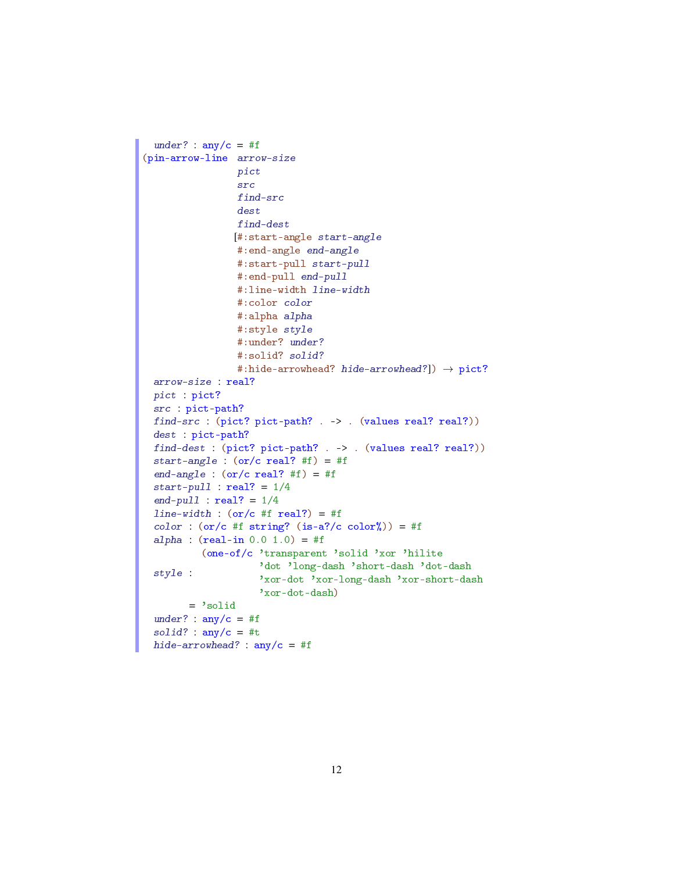```
under? : \text{any/c} = #f(pin-arrow-line arrow-size
                pict
                 src
                 find-src
                 dest
                find-dest
                [#:start-angle start-angle
                #:end-angle end-angle
                #:start-pull start-pull
                #:end-pull end-pull
                #:line-width line-width
                #:color color
                #:alpha alpha
                #:style style
                #:under? under?
                #:solid? solid?
                #:hide-arrowhead? hide-arrowhead?]) \rightarrow pict?
 arrow-size : real?
 pict : pict?
 src : pict-path?
 find-src : (pict? pict-path? . -> . (values real? real?))
 dest : pict-path?
 find-dest : (pict? pict-path? . -> . (values real? real?))
 start-angle : (or/c \text{ real? } #f) = #fend-angle : (or/c real? #f) = #f
 start-pull : real? = 1/4end-pull : real? = 1/4line-width : (or/c #f real?) = #fcolor('circ) = #f string? (is-a?/c color'') = #falpha : (\text{real-in } 0.0 1.0) = #fstyle :
          (one-of/c 'transparent 'solid 'xor 'hilite
                    'dot 'long-dash 'short-dash 'dot-dash
                    'xor-dot 'xor-long-dash 'xor-short-dash
                    'xor-dot-dash)
       = 'solid
 under? : any/c = #fsolid? : any/c = #thide-arrowhead? : any/c = #f
```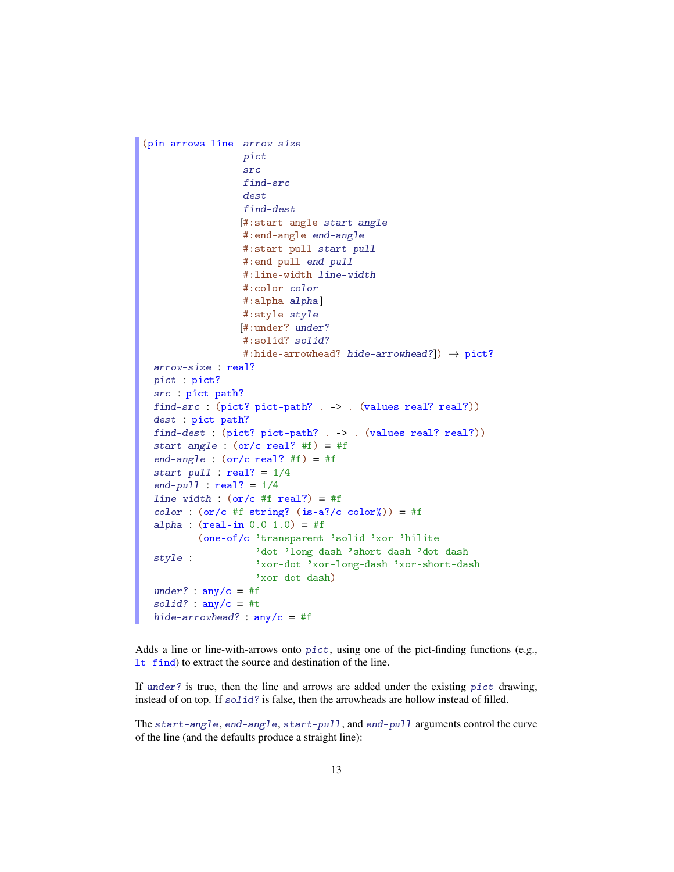```
(pin-arrows-line arrow-size
                  pict
                  src
                  find-src
                  dest
                  find-dest
                 [#:start-angle start-angle
                  #:end-angle end-angle
                  #:start-pull start-pull
                  #:end-pull end-pull
                  #:line-width line-width
                  #:color color
                  #:alpha alpha]
                  #:style style
                 [#:under? under?
                  #:solid? solid?
                  #:hide-arrowhead? hide-arrowhead?]) \rightarrow pict?
 arrow-size : real?
 pict : pict?
 src : pict-path?
 find-src : (pict? pict-path? . -> . (values real? real?))
 dest : pict-path?
 find-dest : (pict? pict-path? . \rightarrow . (values real? real?))
 start-angle : (or/c real? #f) = #f
 end-angle : (or/c real? #f) = #f
 start-pull : real? = 1/4end-pull : real? = 1/4line-width : (or/c #f real?) = #fcolor('s-2000r)(or/c #f string? (is-a?/c color%) = #falpha : (\text{real-in } 0.0 1.0) = #fstyle :
          (one-of/c 'transparent 'solid 'xor 'hilite
                    'dot 'long-dash 'short-dash 'dot-dash
                    'xor-dot 'xor-long-dash 'xor-short-dash
                    'xor-dot-dash)
 under? : \text{any/c} = #fsolid? : any/c = #thide-arrowhead? : any/c = #f
```
Adds a line or line-with-arrows onto  $pict$ , using one of the pict-finding functions (e.g., lt-find) to extract the source and destination of the line.

If under? is true, then the line and arrows are added under the existing  $picture$ . instead of on top. If  $solid$ ? is false, then the arrowheads are hollow instead of filled.

The start-angle, end-angle, start-pull, and end-pull arguments control the curve of the line (and the defaults produce a straight line):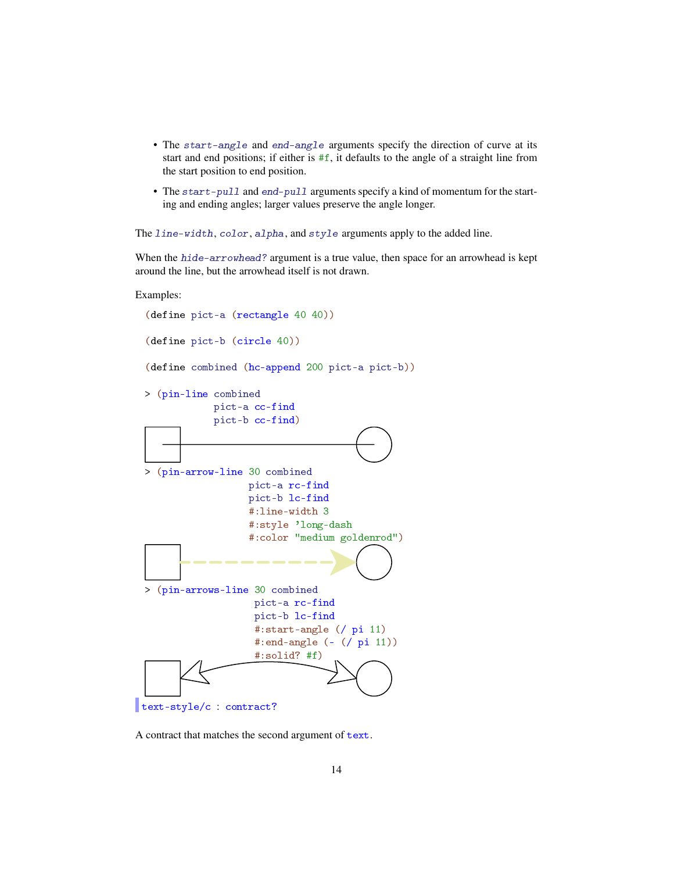- The start-angle and end-angle arguments specify the direction of curve at its start and end positions; if either is #f, it defaults to the angle of a straight line from the start position to end position.
- The start-pull and end-pull arguments specify a kind of momentum for the starting and ending angles; larger values preserve the angle longer.

The line-width, color, alpha, and style arguments apply to the added line.

When the hide-arrowhead? argument is a true value, then space for an arrowhead is kept around the line, but the arrowhead itself is not drawn.



A contract that matches the second argument of text.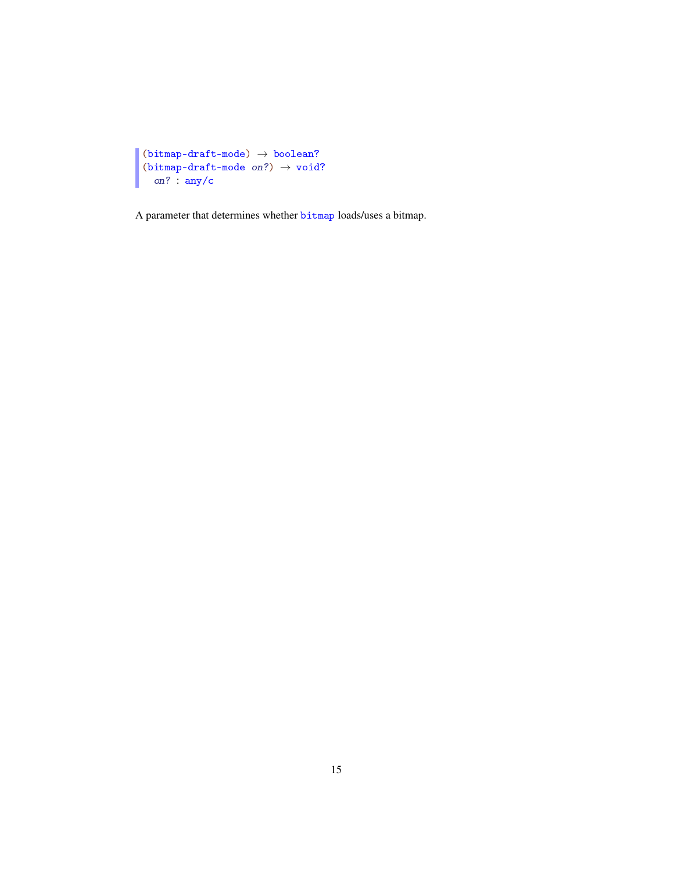```
П
 (bitmap-draff-mode) \rightarrow boolean?(bitmap-draff-mode on?) \rightarrow void?on? : any/c
```
A parameter that determines whether bitmap loads/uses a bitmap.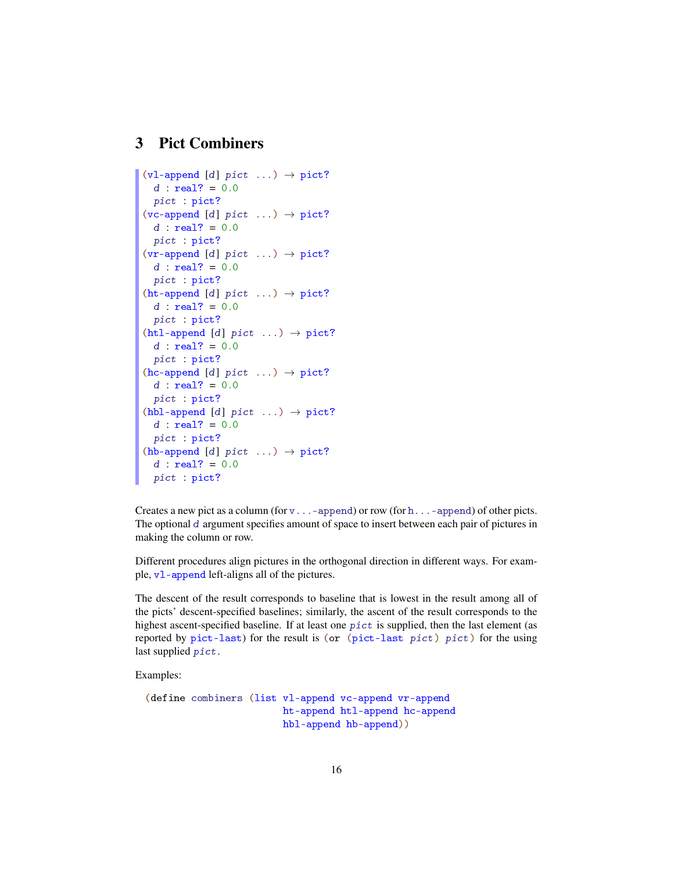# 3 Pict Combiners

```
(vl-append [d] pict ...) \rightarrow pict?
  d : real? = 0.0pict : pict?
(vc-append [d] pict ...) \rightarrow pict?
  d : real? = 0.0pict : pict?
(vr-append [d] pict ...) \rightarrow pict?
  d : real? = 0.0pict : pict?
(ht-append [d] pict ...) \rightarrow pict?
  d : real? = 0.0pict : pict?
(htl-append [d] pict ...) \rightarrow pict?
 d : real? = 0.0pict : pict?
(hc-append [d] pict ...) \rightarrow pict?
  d : real? = 0.0pict : pict?
(hbl-append [d] pict ...) \rightarrow pict?
  d : real? = 0.0pict : pict?
(hb-append [d] pict ...) \rightarrow pict?
  d : real? = 0.0pict : pict?
```
Creates a new pict as a column (for  $v \dots$  -append) or row (for h...-append) of other picts. The optional d argument specifies amount of space to insert between each pair of pictures in making the column or row.

Different procedures align pictures in the orthogonal direction in different ways. For example, vl-append left-aligns all of the pictures.

The descent of the result corresponds to baseline that is lowest in the result among all of the picts' descent-specified baselines; similarly, the ascent of the result corresponds to the highest ascent-specified baseline. If at least one pict is supplied, then the last element (as reported by pict-last) for the result is (or (pict-last pict) pict) for the using last supplied pict.

```
(define combiners (list vl-append vc-append vr-append
                       ht-append htl-append hc-append
                       hbl-append hb-append))
```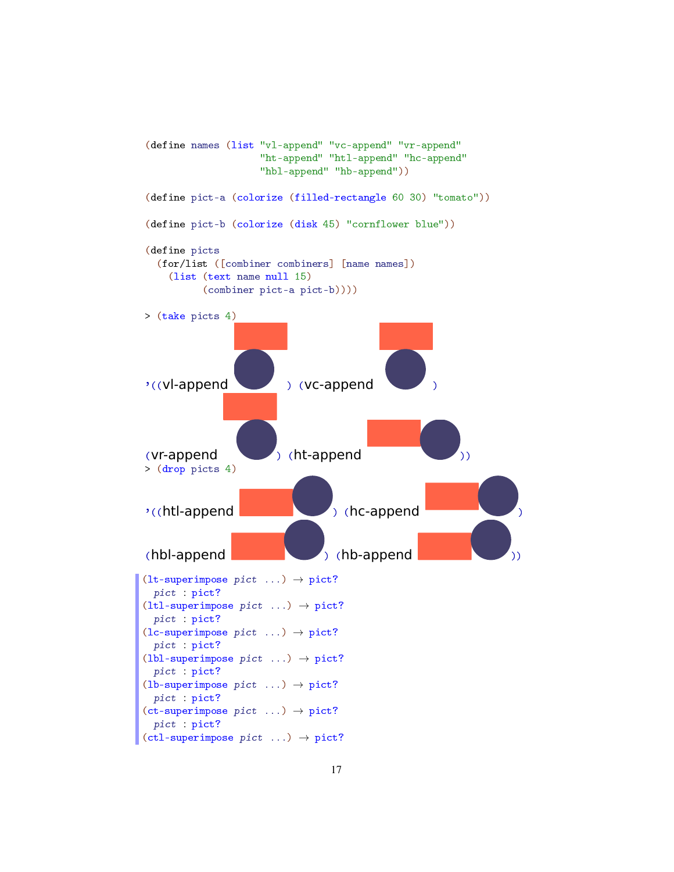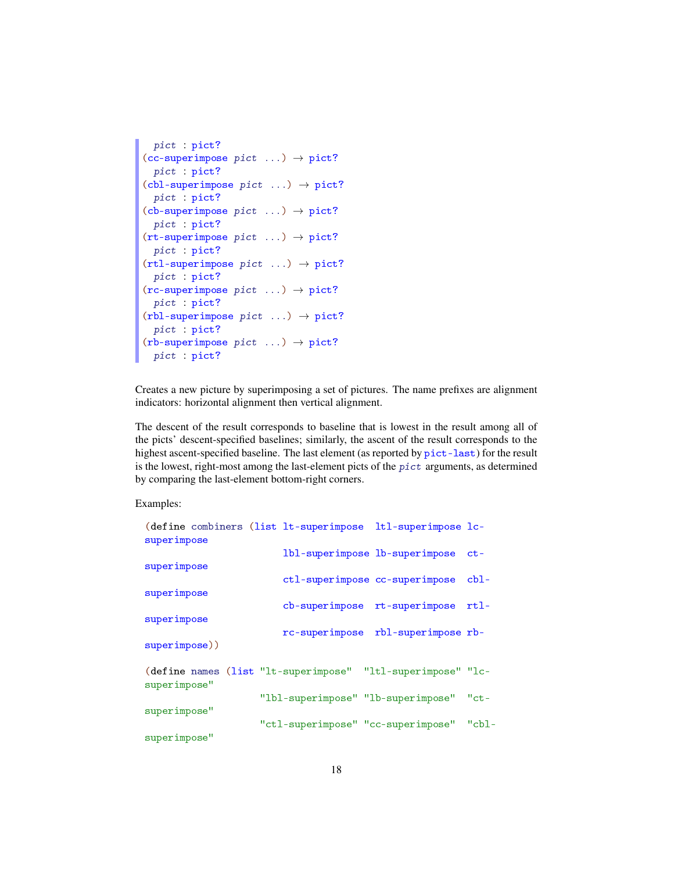```
pict : pict?
(cc-superimpose~picture \dots) \rightarrow pict?pict : pict?
(cl-superimpose~ pict~...) \rightarrow pict?pict : pict?
(cb-superimpose pict ...) \rightarrow pict?pict : pict?
(rt-superimpose pict ...) \rightarrow pict?
 pict : pict?
(rtl-superimpose~picture \dots) \rightarrow pict?pict : pict?
(rc\text{-superimpose } pict ... ) \rightarrow pict?pict : pict?
(rbl-superimpose~pict ...) \rightarrow pict?pict : pict?
(rb-superimpose~pict ...) \rightarrow pict?pict : pict?
```
Creates a new picture by superimposing a set of pictures. The name prefixes are alignment indicators: horizontal alignment then vertical alignment.

The descent of the result corresponds to baseline that is lowest in the result among all of the picts' descent-specified baselines; similarly, the ascent of the result corresponds to the highest ascent-specified baseline. The last element (as reported by pict-last) for the result is the lowest, right-most among the last-element picts of the pict arguments, as determined by comparing the last-element bottom-right corners.

| superimpose   |  | (define combiners (list lt-superimpose ltl-superimpose lc-  |        |
|---------------|--|-------------------------------------------------------------|--------|
|               |  | 1bl-superimpose 1b-superimpose                              | $ct -$ |
| superimpose   |  | ctl-superimpose cc-superimpose                              | $cb1-$ |
| superimpose   |  |                                                             |        |
|               |  | cb-superimpose rt-superimpose                               | rtl-   |
| superimpose   |  | rc-superimpose rbl-superimpose rb-                          |        |
| superimpose)) |  |                                                             |        |
| superimpose"  |  | (define names (list "lt-superimpose" "ltl-superimpose" "lc- |        |
|               |  | "1b1-superimpose" "1b-superimpose"                          | "ct-   |
| superimpose"  |  |                                                             | "cbl-  |
| superimpose"  |  | "ctl-superimpose" "cc-superimpose"                          |        |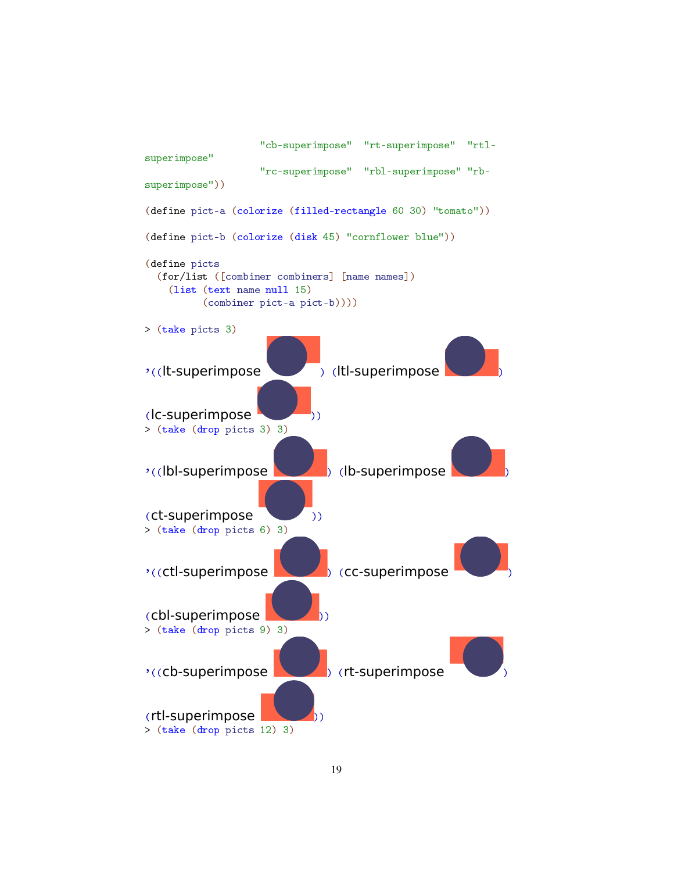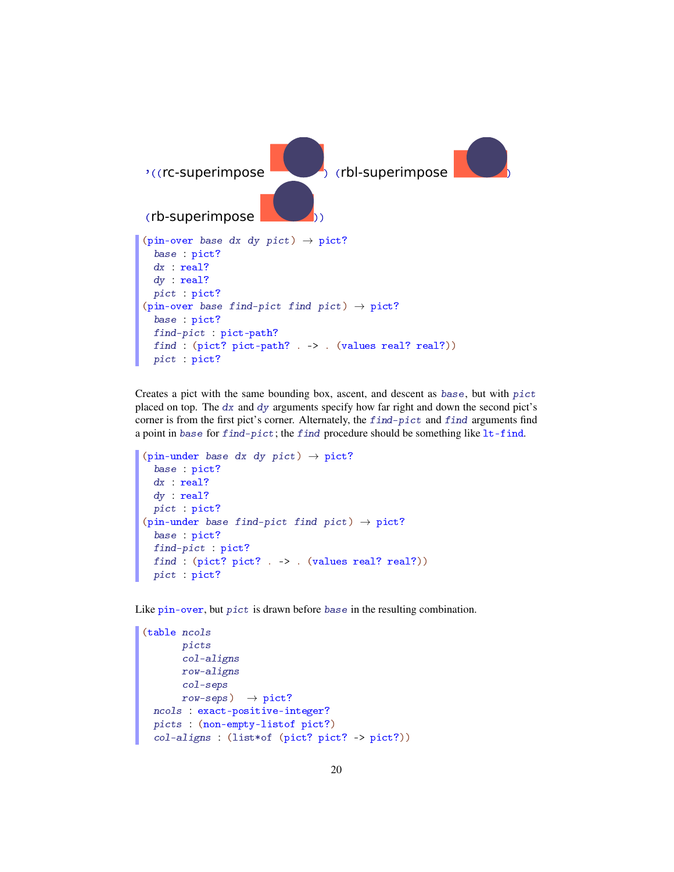

Creates a pict with the same bounding box, ascent, and descent as base, but with pict placed on top. The  $dx$  and  $dy$  arguments specify how far right and down the second pict's corner is from the first pict's corner. Alternately, the find-pict and find arguments find a point in base for find-pict; the find procedure should be something like lt-find.

```
(pin-under base dx dy pict) \rightarrow pict?
  base : pict?
  dx : real?
  dy : real?
 pict : pict?
(pin-under base find-pict find pict) \rightarrow pict?
  base : pict?
  find-pict : pict?
 find : (pict? pict? . -> . (values real? real?))
  pict : pict?
```
Like pin-over, but pict is drawn before base in the resulting combination.

```
(table ncols
       picts
       col-aligns
       row-aligns
       col-seps
       row\text{-}seps) \rightarrow pict?
 ncols : exact-positive-integer?
 picts : (non-empty-listof pict?)
  col-aligns : (list*of (pict? pict? -> pict?))
```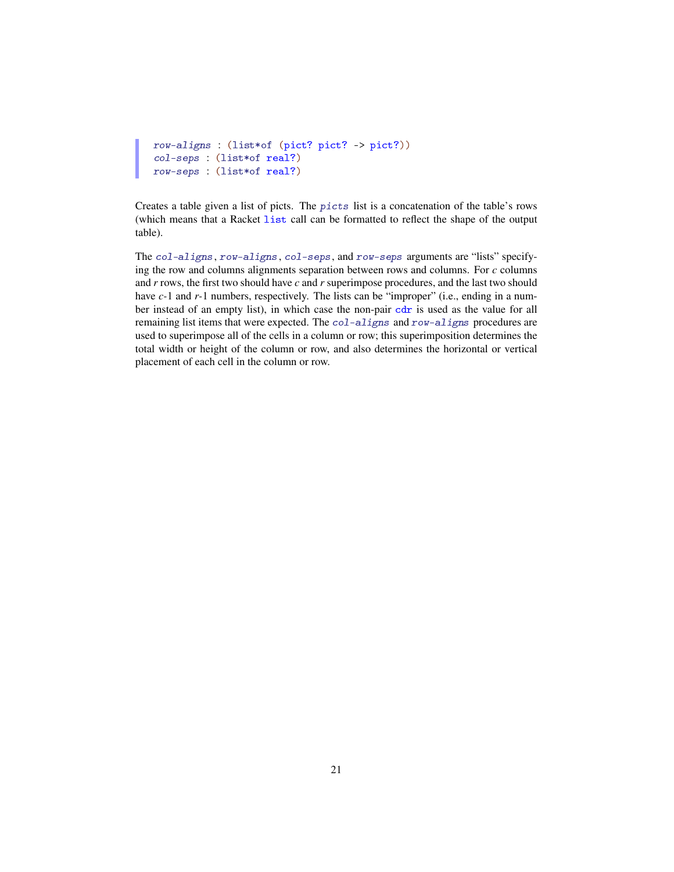```
row-aligns : (list*of (pict? pict? -> pict?))
col-seps : (list*of real?)
row-seps : (list*of real?)
```
Creates a table given a list of picts. The picts list is a concatenation of the table's rows (which means that a Racket list call can be formatted to reflect the shape of the output table).

The col-aligns, row-aligns, col-seps, and row-seps arguments are "lists" specifying the row and columns alignments separation between rows and columns. For *c* columns and *r* rows, the first two should have *c* and *r* superimpose procedures, and the last two should have *c*-1 and *r*-1 numbers, respectively. The lists can be "improper" (i.e., ending in a number instead of an empty list), in which case the non-pair cdr is used as the value for all remaining list items that were expected. The col-aligns and row-aligns procedures are used to superimpose all of the cells in a column or row; this superimposition determines the total width or height of the column or row, and also determines the horizontal or vertical placement of each cell in the column or row.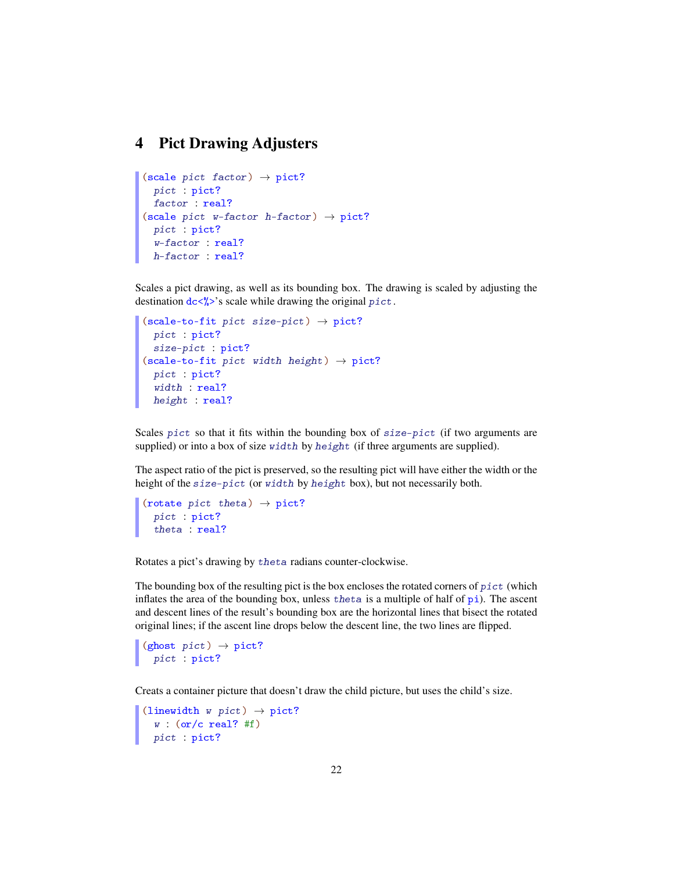# 4 Pict Drawing Adjusters

```
(scale pict factor) \rightarrow pict?
  pict : pict?
  factor : real?
(scale pict w-factor h-factor) \rightarrow pict?
  pict : pict?
  w-factor : real?
  h-factor : real?
```
Scales a pict drawing, as well as its bounding box. The drawing is scaled by adjusting the destination  $dc \langle \cdot \rangle$ 's scale while drawing the original pict.

```
(scale-to-fit pict size-pict) \rightarrow pict?
 pict : pict?
  size-pict : pict?
(scale-to-fit pict width height) \rightarrow pict?
  pict : pict?
  width : real?
 height : real?
```
Scales pict so that it fits within the bounding box of  $size-pict$  (if two arguments are supplied) or into a box of size width by height (if three arguments are supplied).

The aspect ratio of the pict is preserved, so the resulting pict will have either the width or the height of the size-pict (or width by height box), but not necessarily both.

```
(rotate pict theta) \rightarrow pict?
  pict : pict?
  theta : real?
```
Rotates a pict's drawing by theta radians counter-clockwise.

The bounding box of the resulting pict is the box encloses the rotated corners of  $pict$  (which inflates the area of the bounding box, unless the ta is a multiple of half of  $pi$ ). The ascent and descent lines of the result's bounding box are the horizontal lines that bisect the rotated original lines; if the ascent line drops below the descent line, the two lines are flipped.

 $(ghost~ pict) \rightarrow pict?$ pict : pict?

Creats a container picture that doesn't draw the child picture, but uses the child's size.

```
(linewidth w pict) \rightarrow pict?w : (or/c real? #f)
  pict : pict?
```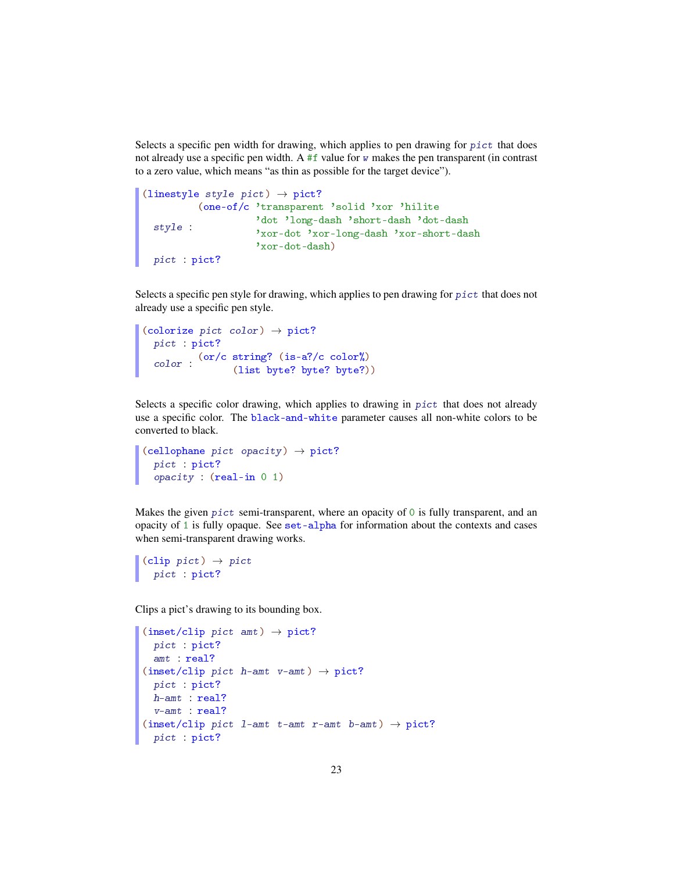Selects a specific pen width for drawing, which applies to pen drawing for  $picture$  that does not already use a specific pen width. A  $#f$  value for w makes the pen transparent (in contrast to a zero value, which means "as thin as possible for the target device").

```
(linestyle style pict) \rightarrow pict?
  style :
'dot 'long-dash 'short-dash 'dot-dash
        (one-of/c 'transparent 'solid 'xor 'hilite
                    'xor-dot 'xor-long-dash 'xor-short-dash
                   'xor-dot-dash)
  pict : pict?
```
Selects a specific pen style for drawing, which applies to pen drawing for pict that does not already use a specific pen style.

```
(colorize pict color) \rightarrow pict?
  pict : pict?
  color :
(or/c string? (is-a?/c color%)
              (list byte? byte? byte?))
```
Selects a specific color drawing, which applies to drawing in pict that does not already use a specific color. The black-and-white parameter causes all non-white colors to be converted to black.

```
(cellophane pict opacity) \rightarrow pict?
  pict : pict?
  opacity : (real-in 0 1)
```
Makes the given  $picture$  to semi-transparent, where an opacity of  $\circ$  is fully transparent, and an opacity of 1 is fully opaque. See set-alpha for information about the contexts and cases when semi-transparent drawing works.

```
\vert (clip pict) \rightarrow pict
   pict : pict?
```
Clips a pict's drawing to its bounding box.

```
(inset/clip~pitch~ant) \rightarrow pict?pict : pict?
  amt : real?
(inset/clip pict h-amt v-amt) \rightarrow pict?
 pict : pict?
 h-amt : real?
 v-amt : real?
(inset/clip pict 1-amt t-amt r-amt b-amt) \rightarrow pict?
 pict : pict?
```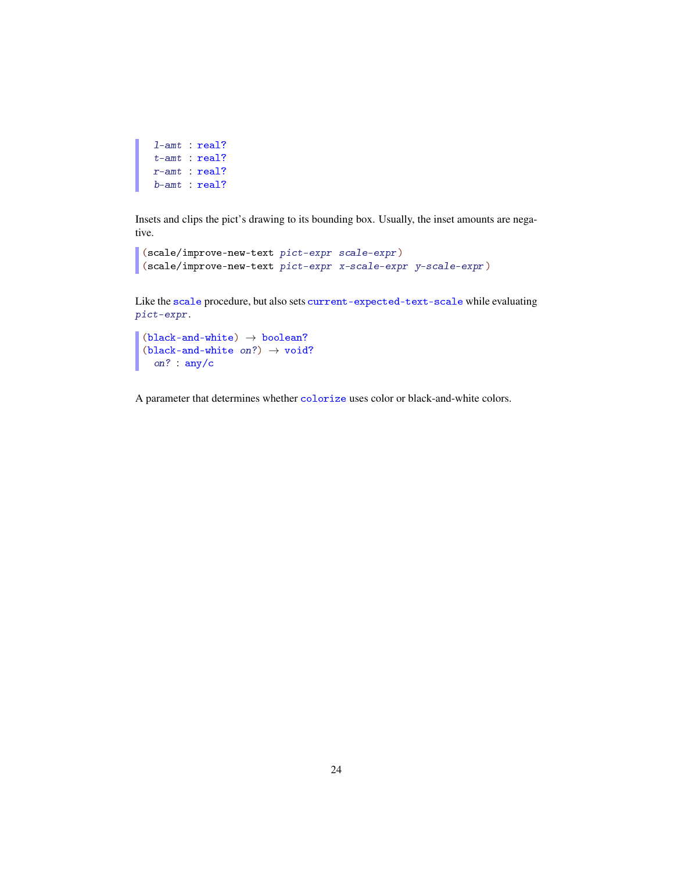```
l-amt : real?
t-amt : real?
r-amt : real?
b-amt : real?
```
Insets and clips the pict's drawing to its bounding box. Usually, the inset amounts are negative.

```
(scale/improve-new-text pict-expr scale-expr)
(scale/improve-new-text pict-expr x-scale-expr y-scale-expr)
```
Like the scale procedure, but also sets current-expected-text-scale while evaluating pict-expr.

```
(black-and-white) \rightarrow boolean?
(black-and-white on?) \rightarrow void?
 on? : any/c
```
A parameter that determines whether colorize uses color or black-and-white colors.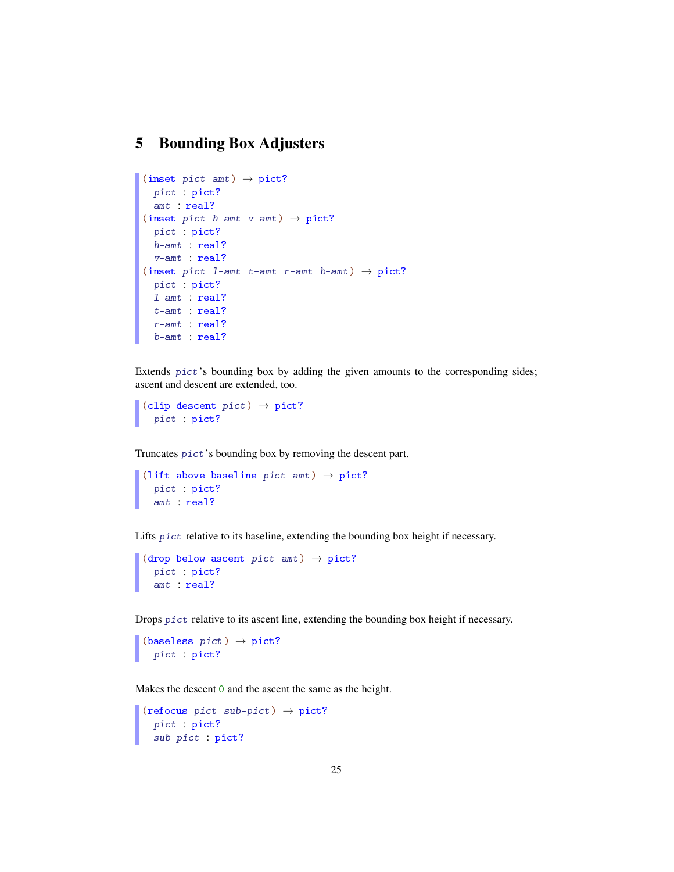# 5 Bounding Box Adjusters

```
(inset pict amt) \rightarrow pict?
 pict : pict?
  amt : real?
(inset pict h-amt v-amt) \rightarrow pict?
  pict : pict?
  h-amt : real?
 v-amt : real?
(inset pict 1-amt t-amt r-amt b-amt) \rightarrow pict?
  pict : pict?
  l-amt : real?
  t-amt : real?
  r-amt : real?
  b-amt : real?
```
Extends  $picture's$  bounding box by adding the given amounts to the corresponding sides; ascent and descent are extended, too.

```
(clip-descent pict) \rightarrow pict?pict : pict?
```
Truncates pict's bounding box by removing the descent part.

```
(lift-above-baseline pict amt) \rightarrow pict?
  pict : pict?
  amt : real?
```
Lifts pict relative to its baseline, extending the bounding box height if necessary.

```
(drop{-}below{-}ascent~pict~amt) \rightarrow pict?pict : pict?
  amt : real?
```
Drops pict relative to its ascent line, extending the bounding box height if necessary.

```
(baseless pict) \rightarrow pict?pict : pict?
```
Makes the descent 0 and the ascent the same as the height.

```
(refocus pict sub-pict) \rightarrow pict?
  pict : pict?
  sub-pict : pict?
```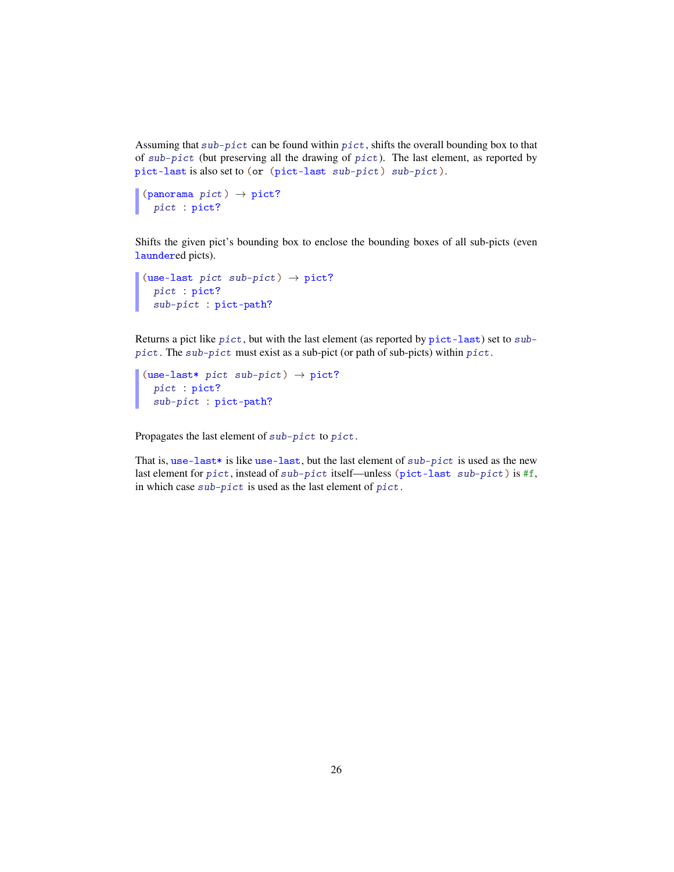Assuming that sub-pict can be found within pict, shifts the overall bounding box to that of sub-pict (but preserving all the drawing of pict). The last element, as reported by pict-last is also set to (or (pict-last sub-pict) sub-pict).

```
(panorama pict) \rightarrow pict?pict : pict?
```
Shifts the given pict's bounding box to enclose the bounding boxes of all sub-picts (even laundered picts).

```
(use-last pict sub-pict) \rightarrow pict?
  pict : pict?
  sub-pict : pict-path?
```
Returns a pict like pict, but with the last element (as reported by pict-last) set to subpict. The sub-pict must exist as a sub-pict (or path of sub-picts) within pict.

```
(use-last* pict sub-pict) \rightarrow pict?
  pict : pict?
  sub-pict : pict-path?
```
Propagates the last element of sub-pict to pict.

That is, use-last\* is like use-last, but the last element of  $sub-pict$  is used as the new last element for pict, instead of sub-pict itself—unless (pict-last sub-pict) is #f, in which case sub-pict is used as the last element of pict.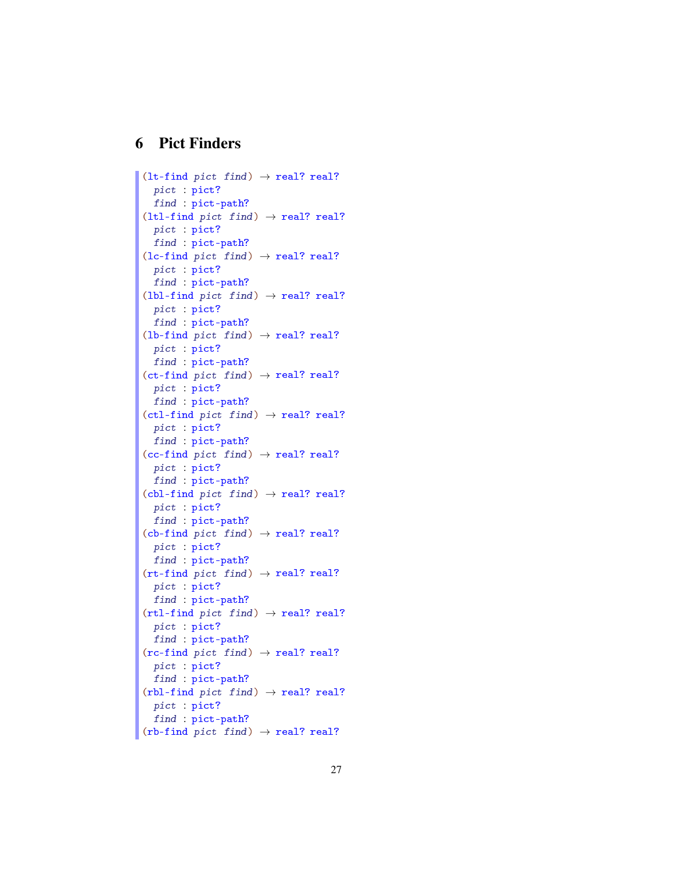# 6 Pict Finders

```
(1t-find pict find) \rightarrow real? real?
  pict : pict?
  find : pict-path?
(1tl-find pict find) \rightarrow real? real?
 pict : pict?
  find : pict-path?
(lc-find~pict~find) \rightarrow real? real?pict : pict?
 find : pict-path?
(lbl-find pict find) \rightarrow real? real?
 pict : pict?
 find : pict-path?
(lb-find~pict~find) \rightarrow real? real?pict : pict?
  find : pict-path?
(ct-find pict find) \rightarrow real? real?
  pict : pict?
  find : pict-path?
(ctl-find~picture~find) \rightarrow real? real?pict : pict?
  find : pict-path?
(cc-find~picture~find) \rightarrow real? real?
 pict : pict?
 find : pict-path?
(cbl-find~picture~find) \rightarrow real? real?pict : pict?
 find : pict-path?
(cb-find~pit~find) \rightarrow real? real?
 pict : pict?
 find : pict-path?
(rt-find pict find) \rightarrow real? real?
 pict : pict?
 find : pict-path?
(rtl-find~picture~find) \rightarrow real? real?pict : pict?
  find : pict-path?
(rc\text{-find~picture~}1) \rightarrow \text{real? real?}pict : pict?
 find : pict-path?
(rbl-find~pict~find) \rightarrow real? real?
 pict : pict?
 find : pict-path?
(rb-find~pict~find) \rightarrow real? real?
```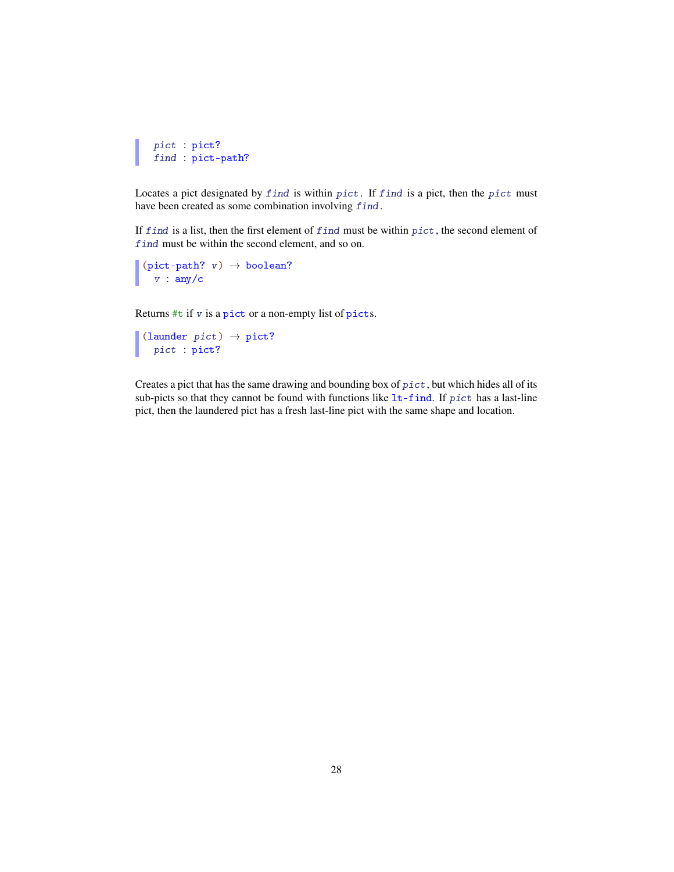```
pict : pict?
find : pict-path?
```
Locates a pict designated by find is within pict. If find is a pict, then the pict must have been created as some combination involving find.

If find is a list, then the first element of find must be within pict, the second element of find must be within the second element, and so on.

```
(pict-path? v) \rightarrow boolean?v : any/c
```
Returns #t if v is a pict or a non-empty list of picts.

```
(launder pict) \rightarrow pict?pict : pict?
```
Creates a pict that has the same drawing and bounding box of pict, but which hides all of its sub-picts so that they cannot be found with functions like  $lt$ -find. If pict has a last-line pict, then the laundered pict has a fresh last-line pict with the same shape and location.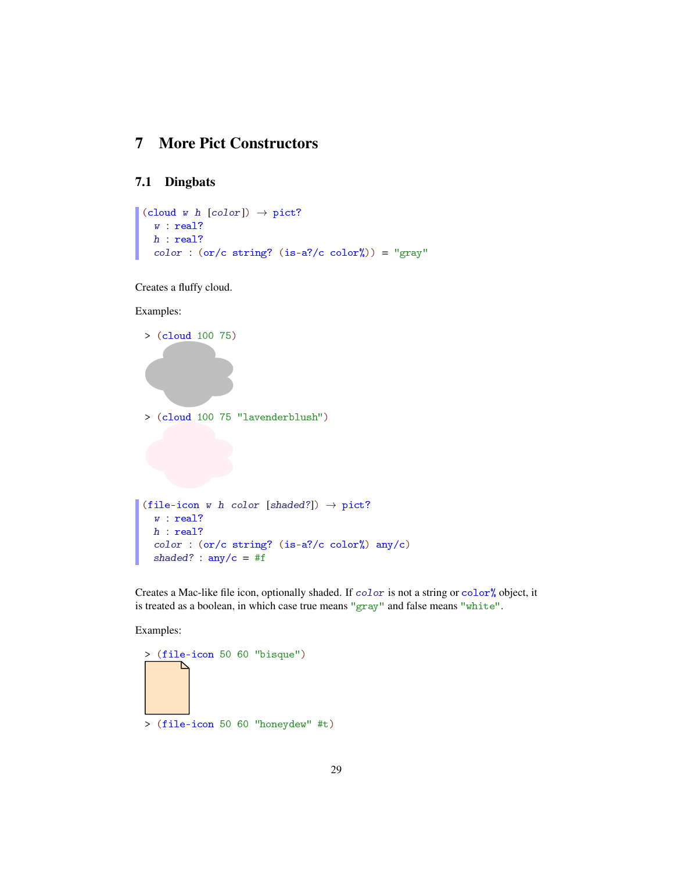# 7 More Pict Constructors

## 7.1 Dingbats

```
\vert (cloud w h [color]) \rightarrow pict?
   w : real?
  h : real?
  color : (or/c string? (is-a?/c color%)) = "gray"
```
Creates a fluffy cloud.

#### Examples:

```
> (cloud 100 75)
> (cloud 100 75 "lavenderblush")
(file-icon w h color [shaded?]) \rightarrow pict?
  w : real?
  h : real?
  color : (or/c string? (is-a?/c color%) any/c)
  shaded? : any/c = #f
```
Creates a Mac-like file icon, optionally shaded. If color is not a string or color% object, it is treated as a boolean, in which case true means "gray" and false means "white".

Examples:

> (file-icon 50 60 "bisque") ⊵ > (file-icon 50 60 "honeydew" #t)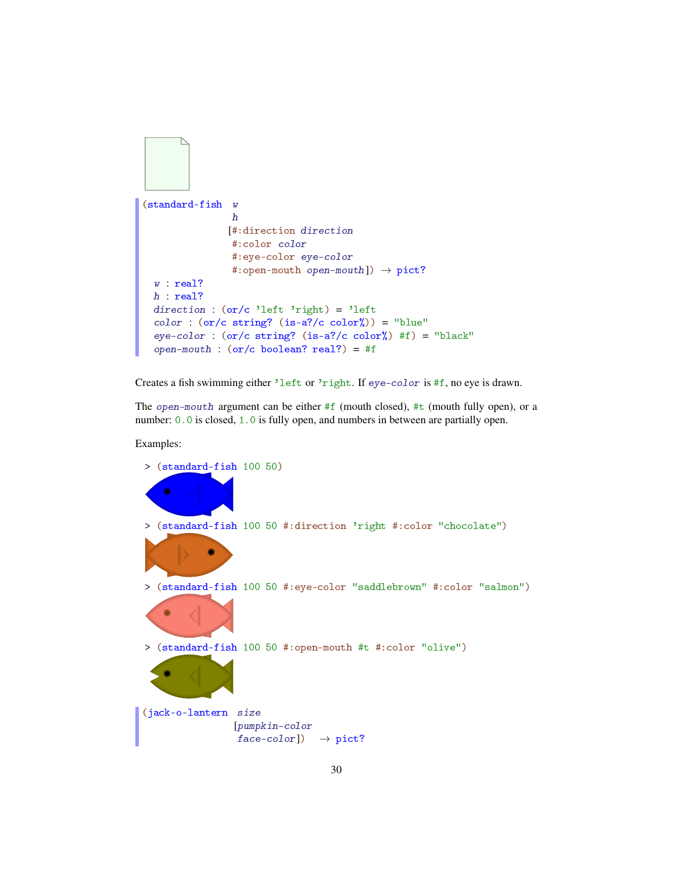```
(standard-fish w
                h
               [#:direction direction
                #:color color
                #:eye-color eye-color
                #:open-mouth open-mouth]) \rightarrow pict?
 w : real?
 h : real?
 direction : (or/c 'left 'right) = 'left
 color : (or/c string? (is-a?/c color%)) = "blue"
 eye-color : (or/c \text{ string?} (is-a?/c \text{ color%) #f}) = "black"open-mouth : (or/c boolean? real?) = #f
```
Creates a fish swimming either 'left or 'right. If eye-color is #f, no eye is drawn.

The open-mouth argument can be either  $#f$  (mouth closed),  $#t$  (mouth fully open), or a number:  $0.0$  is closed,  $1.0$  is fully open, and numbers in between are partially open.

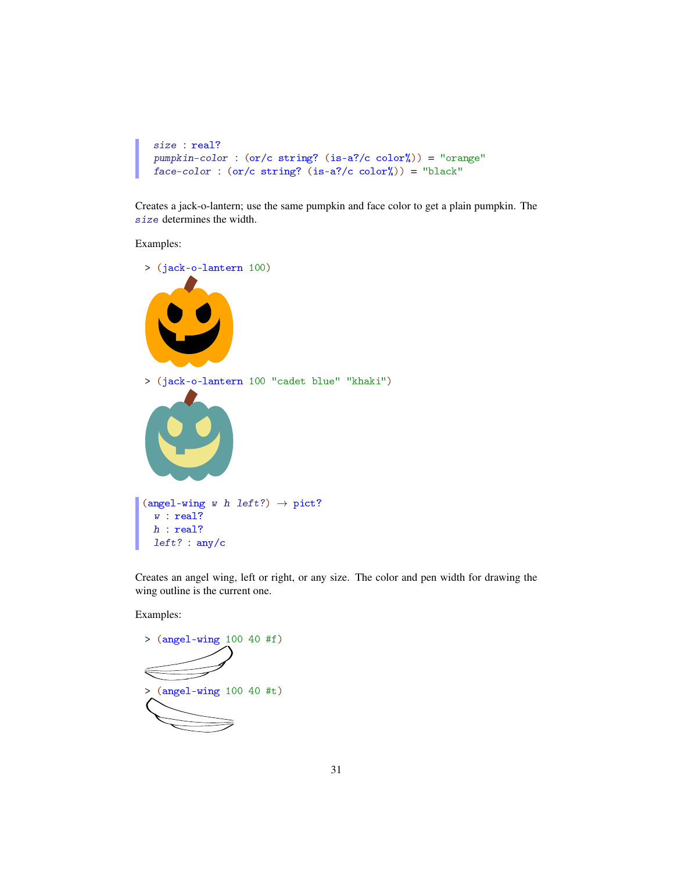```
size : real?
pumpkin-color : (or/c string? (is-a?/c color%)) = "orange"
face-color: (or/c string? (is-a?/c color*)) = "black"
```
Creates a jack-o-lantern; use the same pumpkin and face color to get a plain pumpkin. The size determines the width.

Examples:



Creates an angel wing, left or right, or any size. The color and pen width for drawing the wing outline is the current one.

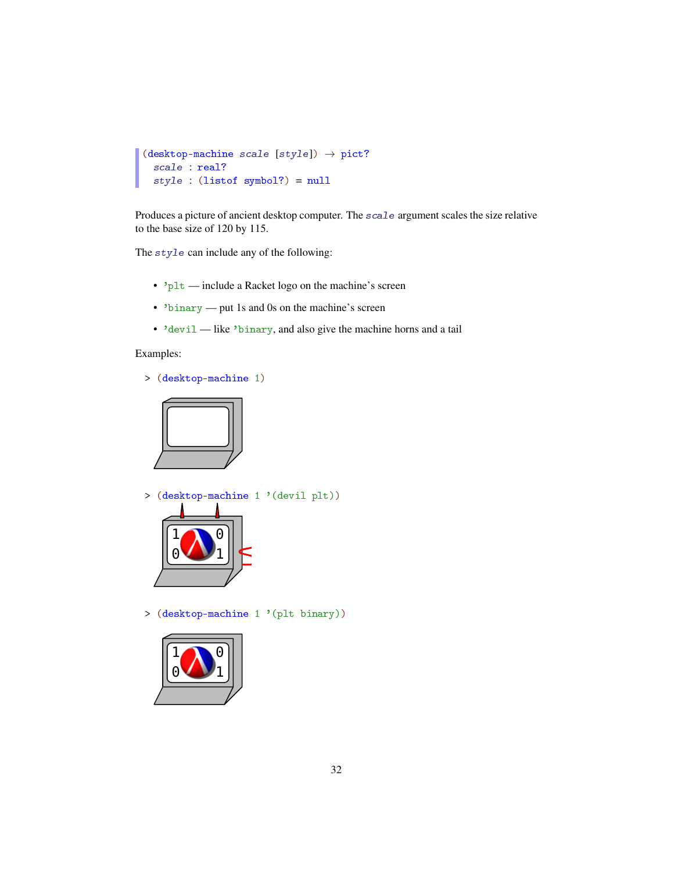```
(desktop-machine scale [style]) \rightarrow pict?scale : real?
  style : (listof symbol?) = null
```
Produces a picture of ancient desktop computer. The scale argument scales the size relative to the base size of 120 by 115.

The style can include any of the following:

- 'plt include a Racket logo on the machine's screen
- 'binary put 1s and 0s on the machine's screen
- 'devil like 'binary, and also give the machine horns and a tail

#### Examples:

> (desktop-machine 1)



> (desktop-machine 1 '(devil plt))



> (desktop-machine 1 '(plt binary))

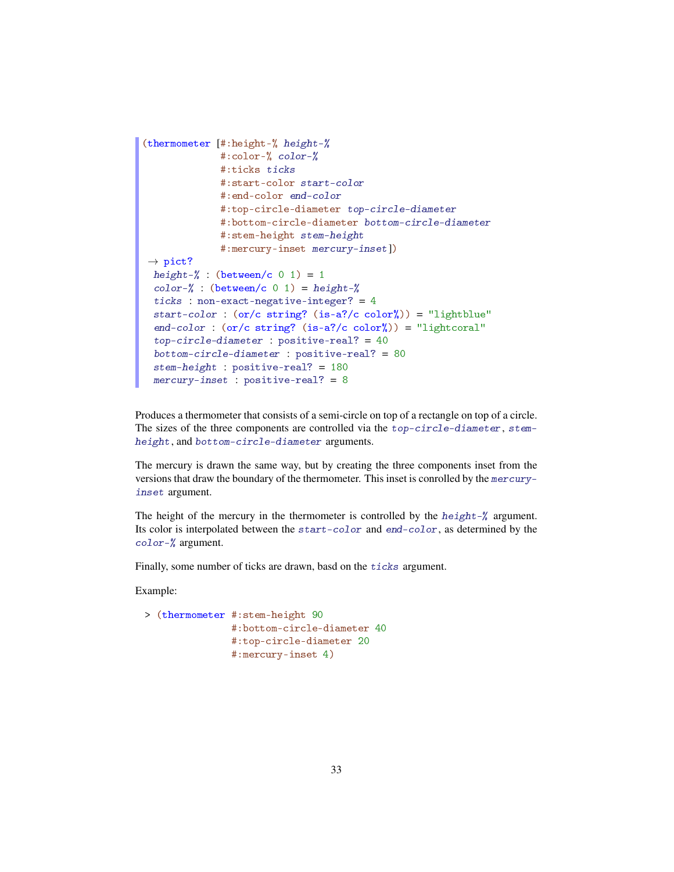```
(thermometer [#:height-% height-%
             #:color-% color-%
             #:ticks ticks
             #:start-color start-color
              #:end-color end-color
             #:top-circle-diameter top-circle-diameter
             #:bottom-circle-diameter bottom-circle-diameter
             #:stem-height stem-height
              #:mercury-inset mercury-inset])
\rightarrow pict?
 height-\frac{9}{6} : (between/c 0 1) = 1
 color-\% : (between/c 0 1) = height-%
 ticks : non-exact-negative-integer? = 4start-color : (or/c string? (is-a?/c color%)) = "lightblue"
 end-color : (or/c \text{ string?} (is-a?/c \text{ color}')) = "lightcoral"top-circle-diameter : positive-real? = 40bottom-circle-diameter : positive-real? = 80
 stem-height : positive-real? = 180
 mercury-inset : positive-real? = 8
```
Produces a thermometer that consists of a semi-circle on top of a rectangle on top of a circle. The sizes of the three components are controlled via the top-circle-diameter, stemheight, and bottom-circle-diameter arguments.

The mercury is drawn the same way, but by creating the three components inset from the versions that draw the boundary of the thermometer. This inset is conrolled by the mercuryinset argument.

The height of the mercury in the thermometer is controlled by the height-% argument. Its color is interpolated between the start-color and end-color, as determined by the color-% argument.

Finally, some number of ticks are drawn, basd on the ticks argument.

```
> (thermometer #:stem-height 90
               #:bottom-circle-diameter 40
               #:top-circle-diameter 20
               #:mercury-inset 4)
```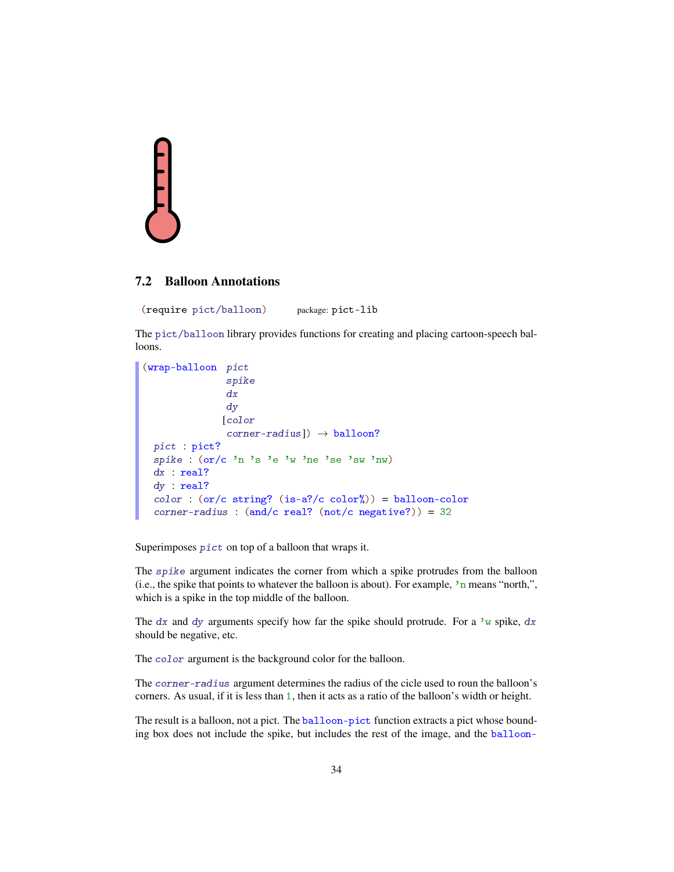

## 7.2 Balloon Annotations

(require pict/balloon) package: pict-lib

The pict/balloon library provides functions for creating and placing cartoon-speech balloons.

```
(wrap-balloon pict
               spike
               dx
               dy
              [color
               corner-radius]) \rightarrow balloon?
 pict : pict?
 spike : (or/c 'n 's 'e 'w 'ne 'se 'sw 'nw)
 dx : real?
 dy : real?
 color : (or/c string? (is-a?/c color%)) = balloon-color
 corner-radius : (and/c real? (not/c negative?)) = 32
```
Superimposes pict on top of a balloon that wraps it.

The spike argument indicates the corner from which a spike protrudes from the balloon (i.e., the spike that points to whatever the balloon is about). For example,  $\lambda$ n means "north,", which is a spike in the top middle of the balloon.

The dx and dy arguments specify how far the spike should protrude. For a 'w spike, dx should be negative, etc.

The color argument is the background color for the balloon.

The corner-radius argument determines the radius of the cicle used to roun the balloon's corners. As usual, if it is less than 1, then it acts as a ratio of the balloon's width or height.

The result is a balloon, not a pict. The balloon-pict function extracts a pict whose bounding box does not include the spike, but includes the rest of the image, and the balloon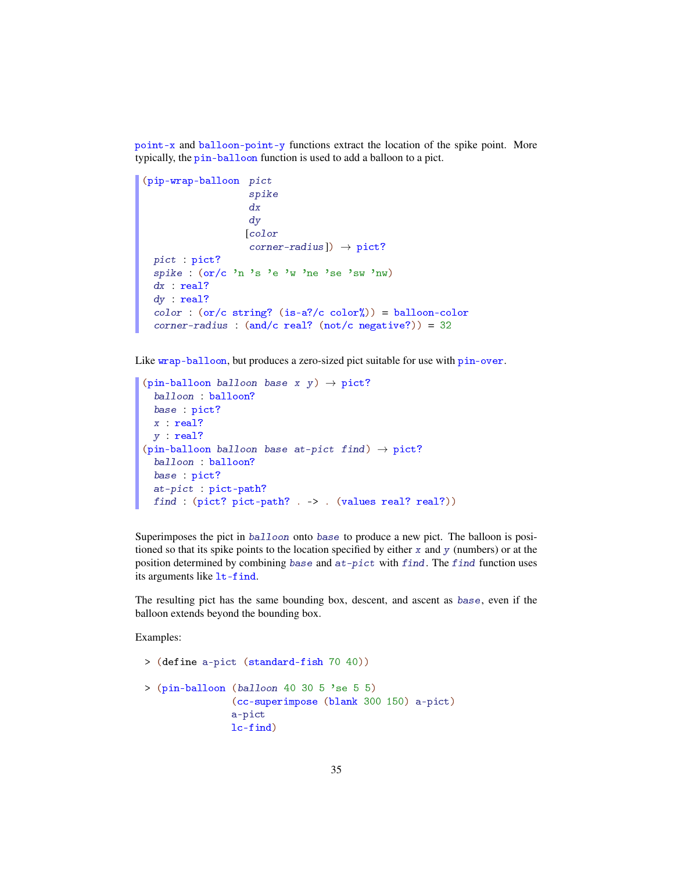point-x and balloon-point-y functions extract the location of the spike point. More typically, the pin-balloon function is used to add a balloon to a pict.

```
(pip-wrap-balloon pict
                   spike
                   dx
                   dy
                  [color
                   corner-radius]) \rightarrow pict?
 pict : pict?
 spike : (or/c 'n 's 'e 'w 'ne 'se 'sw 'nw)
 dx : real?
 dy : real?
 color: (or/c string? (is-a?/c color)) = balloon-colorcorner-radius : (and/c real? (not/c negative?)) = 32
```
Like wrap-balloon, but produces a zero-sized pict suitable for use with pin-over.

```
(pin-balloon balloon base x y) \rightarrow pict?
  balloon : balloon?
  base : pict?
 x : real?
 y : real?
(pin-balloon balloon base at-pict find) \rightarrow pict?
 balloon : balloon?
  base : pict?
  at-pict : pict-path?
 find : (pict? pict-path? . -> . (values real? real?))
```
Superimposes the pict in balloon onto base to produce a new pict. The balloon is positioned so that its spike points to the location specified by either  $x$  and  $y$  (numbers) or at the position determined by combining base and  $at-pict$  with find. The find function uses its arguments like lt-find.

The resulting pict has the same bounding box, descent, and ascent as base, even if the balloon extends beyond the bounding box.

```
> (define a-pict (standard-fish 70 40))
> (pin-balloon (balloon 40 30 5 'se 5 5)
               (cc-superimpose (blank 300 150) a-pict)
               a-pict
               lc-find)
```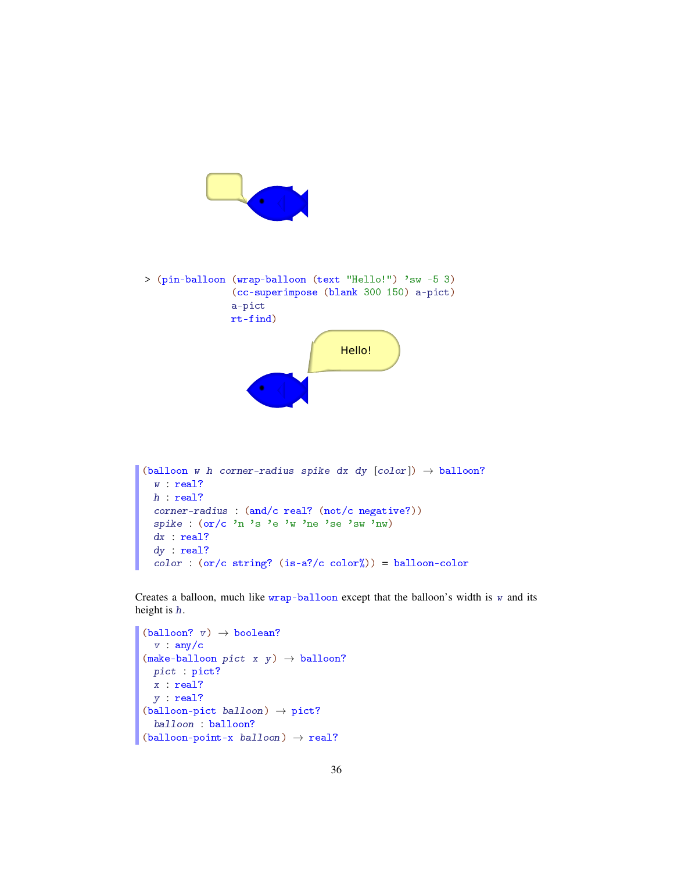

```
(balloon w h corner-radius spike dx dy [color] \rightarrow balloon?
 w : real?
 h : real?
 corner-radius : (and/c real? (not/c negative?))
 spike : (or/c 'n 's 'e 'w 'ne 'se 'sw 'nw)
 dx : real?
 dy : real?
 color: (or/c string? (is-a?/c color%) = balloon-color
```
Creates a balloon, much like wrap-balloon except that the balloon's width is  $w$  and its height is h.

```
(ballow? v) \rightarrow boolean?v : any/c(make-ballow~picture~x~y) \rightarrow balloon?pict : pict?
  x : real?
  y : real?
(ballow{-}picture) \rightarrow pict?
  balloon : balloon?
(ballow-point-x \ balloon) \rightarrow real?
```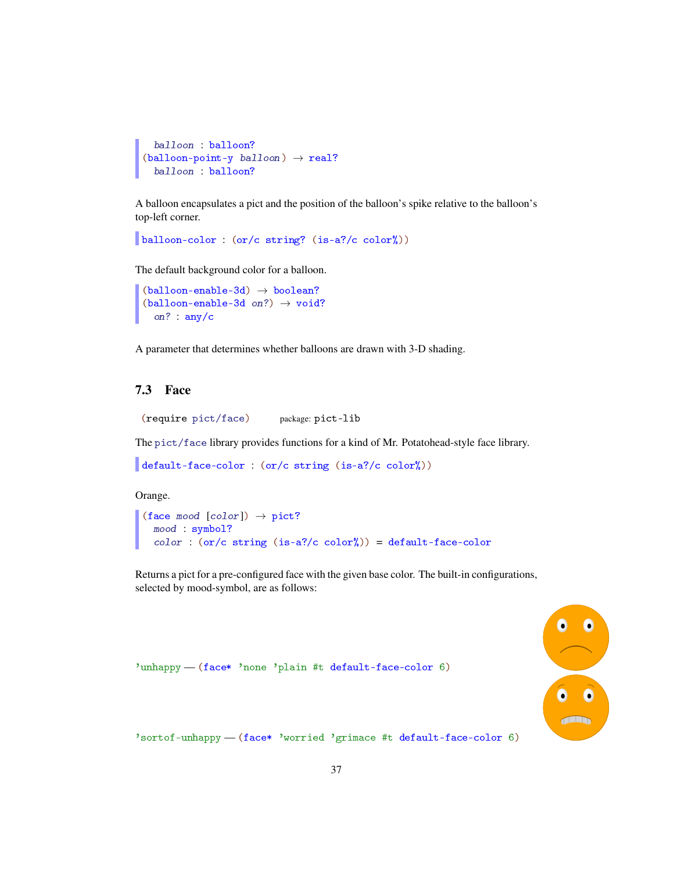```
balloon : balloon?
(ballow-point-y balloon) \rightarrow real?balloon : balloon?
```
A balloon encapsulates a pict and the position of the balloon's spike relative to the balloon's top-left corner.

```
balloon-color : (or/c string? (is-a?/c color%))
```
The default background color for a balloon.

```
(ballow-enable-3d) \rightarrow boolean?(ballow-enable-3d on?) \rightarrow void?on? : any/c
```
A parameter that determines whether balloons are drawn with 3-D shading.

## 7.3 Face

(require pict/face) package: pict-lib

The pict/face library provides functions for a kind of Mr. Potatohead-style face library.

```
default-face-color : (or/c string (is-a?/c color%))
```
Orange.

```
(face mood [color]) \rightarrow pict?
  mood : symbol?
  color : (or/c string (is-a?/c color%)) = default-face-color
```
Returns a pict for a pre-configured face with the given base color. The built-in configurations, selected by mood-symbol, are as follows:



'unhappy - (face\* 'none 'plain #t default-face-color 6)

'sortof-unhappy — (face\* 'worried 'grimace #t default-face-color 6)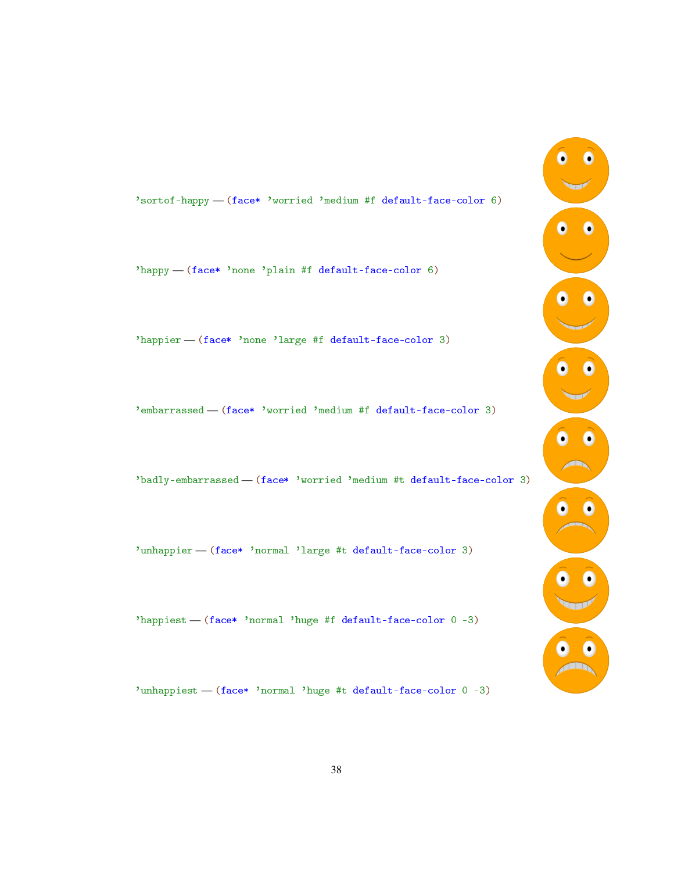## 'sortof-happy — (face\* 'worried 'medium #f default-face-color 6)

'happy — (face\* 'none 'plain #f default-face-color 6)

'happier — (face\* 'none 'large #f default-face-color 3)

'embarrassed — (face\* 'worried 'medium #f default-face-color 3)

'badly-embarrassed — (face\* 'worried 'medium #t default-face-color 3)

'unhappier — (face\* 'normal 'large #t default-face-color 3)

'happiest — (face\* 'normal 'huge #f default-face-color 0 -3)

'unhappiest — (face\* 'normal 'huge #t default-face-color 0 -3)

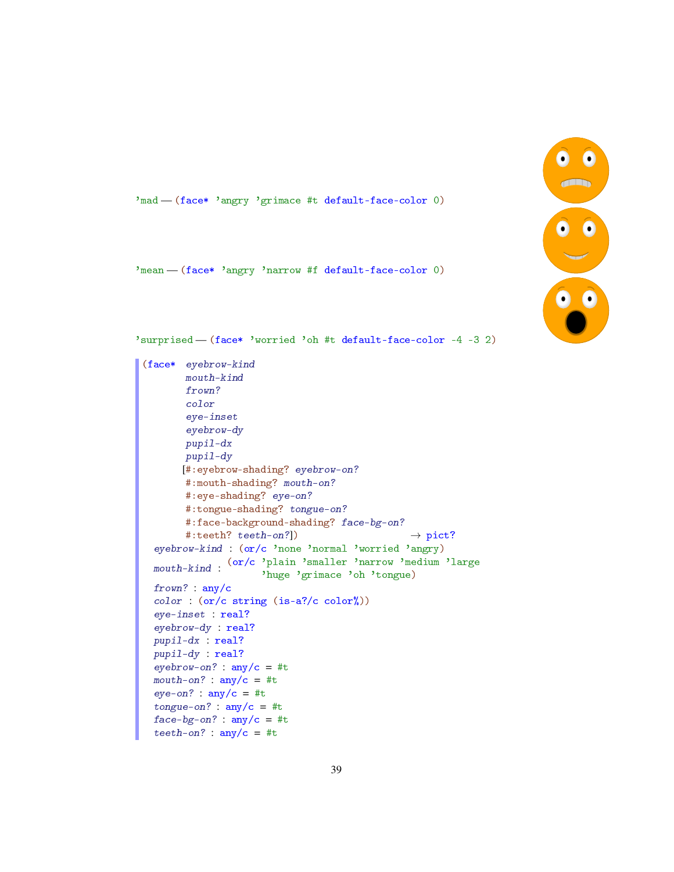

'mad - (face\* 'angry 'grimace #t default-face-color 0)

'mean — (face\* 'angry 'narrow #f default-face-color 0)

'surprised — (face\* 'worried 'oh #t default-face-color -4 -3 2)

```
(face* eyebrow-kind
       mouth-kind
       frown?
       color
        eye-inset
        eyebrow-dy
       pupil-dx
       pupil-dy
       [#:eyebrow-shading? eyebrow-on?
       #:mouth-shading? mouth-on?
       #:eye-shading? eye-on?
       #:tongue-shading? tongue-on?
       #:face-background-shading? face-bg-on?
       #:teeth? teeth-on?]) \rightarrow pict?
  eyebrow-kind : (or/c 'none 'normal 'worried 'angry)
  mouth-kind :
(or/c 'plain 'smaller 'narrow 'medium 'large
                      'huge 'grimace 'oh 'tongue)
  frown? : any/c
  color : (or/c string (is-a?/c color%))
  eye-inset : real?
  eyebrow-dy : real?
 pupil-dx : real?
 pupil-dy : real?
 eyebrow-on? : \text{any/c} = #tmouth-on? : \text{any}/\text{c} = #teye-on? : \text{any/c} = #ttongue-on? : any/c = #tface-bg-on? : any/c = #tteeth-on? : \text{any}/\text{c} = \text{\#t}
```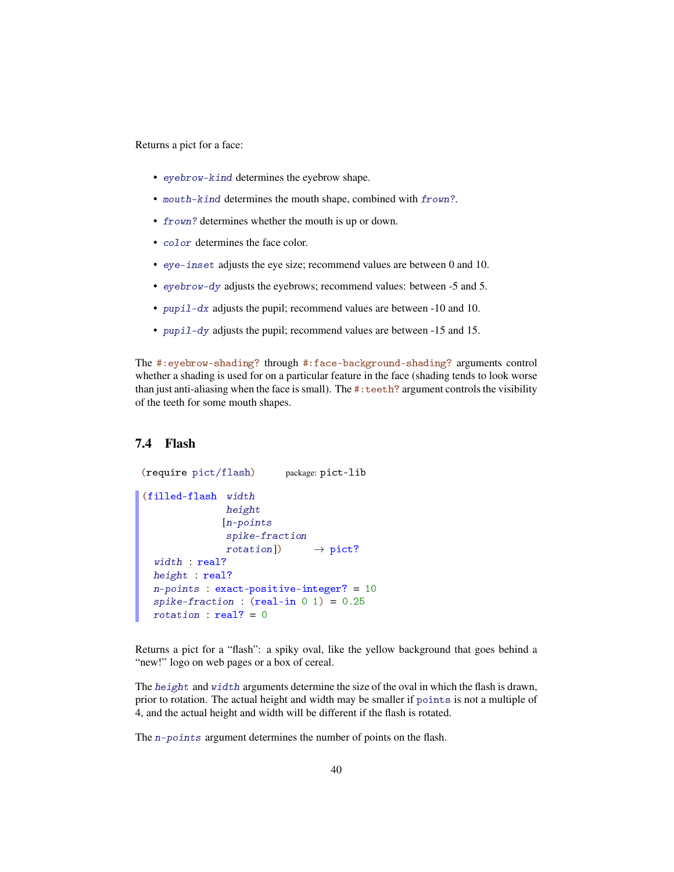Returns a pict for a face:

- eyebrow-kind determines the eyebrow shape.
- mouth-kind determines the mouth shape, combined with frown?.
- frown? determines whether the mouth is up or down.
- color determines the face color.
- eye-inset adjusts the eye size; recommend values are between 0 and 10.
- eyebrow-dy adjusts the eyebrows; recommend values: between -5 and 5.
- pupil-dx adjusts the pupil; recommend values are between -10 and 10.
- pupil-dy adjusts the pupil; recommend values are between -15 and 15.

The #:eyebrow-shading? through #:face-background-shading? arguments control whether a shading is used for on a particular feature in the face (shading tends to look worse than just anti-aliasing when the face is small). The #:teeth? argument controls the visibility of the teeth for some mouth shapes.

## 7.4 Flash

```
(require pict/flash) package: pict-lib
(filled-flash width
              height
              [n-points
              spike-fraction
               rotation]) \rightarrow pict?
 width : real?
 height : real?
 n-points : exact-positive-integer? = 10
  spike-fraction : (\text{real-in } 0 \ 1) = 0.25rotation : real? = 0
```
Returns a pict for a "flash": a spiky oval, like the yellow background that goes behind a "new!" logo on web pages or a box of cereal.

The height and width arguments determine the size of the oval in which the flash is drawn, prior to rotation. The actual height and width may be smaller if points is not a multiple of 4, and the actual height and width will be different if the flash is rotated.

The *n*-points argument determines the number of points on the flash.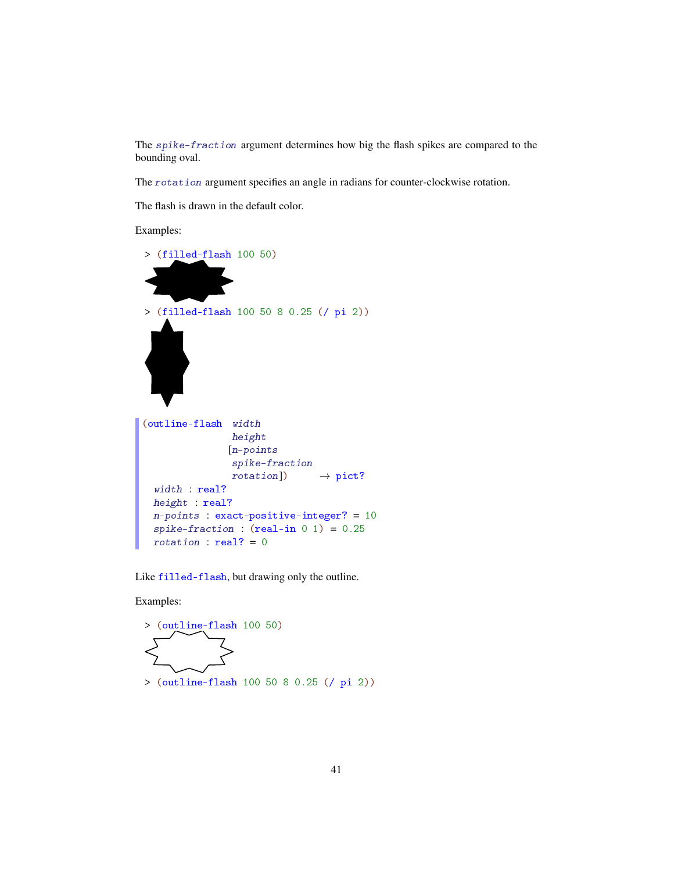The spike-fraction argument determines how big the flash spikes are compared to the bounding oval.

The rotation argument specifies an angle in radians for counter-clockwise rotation.

The flash is drawn in the default color.

Examples:



Like filled-flash, but drawing only the outline.

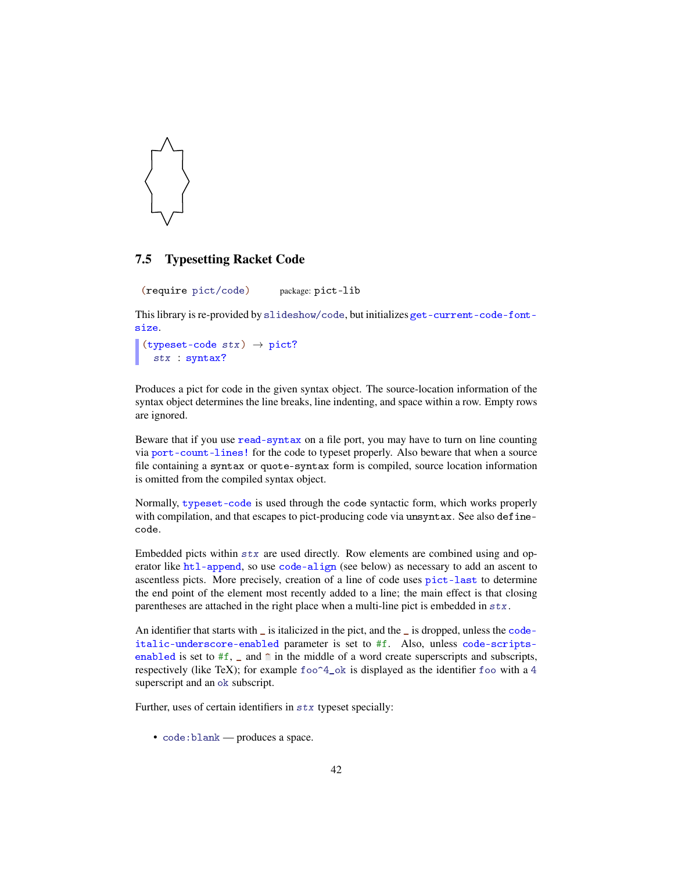

### 7.5 Typesetting Racket Code

(require pict/code) package: pict-lib

This library is re-provided by slideshow/code, but initializes get-current-code-fontsize.

```
(typeset-code stx) \rightarrow pict?stx : syntax?
```
Produces a pict for code in the given syntax object. The source-location information of the syntax object determines the line breaks, line indenting, and space within a row. Empty rows are ignored.

Beware that if you use read-syntax on a file port, you may have to turn on line counting via port-count-lines! for the code to typeset properly. Also beware that when a source file containing a syntax or quote-syntax form is compiled, source location information is omitted from the compiled syntax object.

Normally, typeset-code is used through the code syntactic form, which works properly with compilation, and that escapes to pict-producing code via unsyntax. See also definecode.

Embedded picts within stx are used directly. Row elements are combined using and operator like htl-append, so use code-align (see below) as necessary to add an ascent to ascentless picts. More precisely, creation of a line of code uses pict-last to determine the end point of the element most recently added to a line; the main effect is that closing parentheses are attached in the right place when a multi-line pict is embedded in stx.

An identifier that starts with \_ is italicized in the pict, and the \_ is dropped, unless the codeitalic-underscore-enabled parameter is set to #f. Also, unless code-scriptsenabled is set to  $#f$ , and  $\hat{ }$  in the middle of a word create superscripts and subscripts, respectively (like TeX); for example  $f \circ \circ \circ 4$  ok is displayed as the identifier foo with a 4 superscript and an ok subscript.

Further, uses of certain identifiers in stx typeset specially:

• code:blank — produces a space.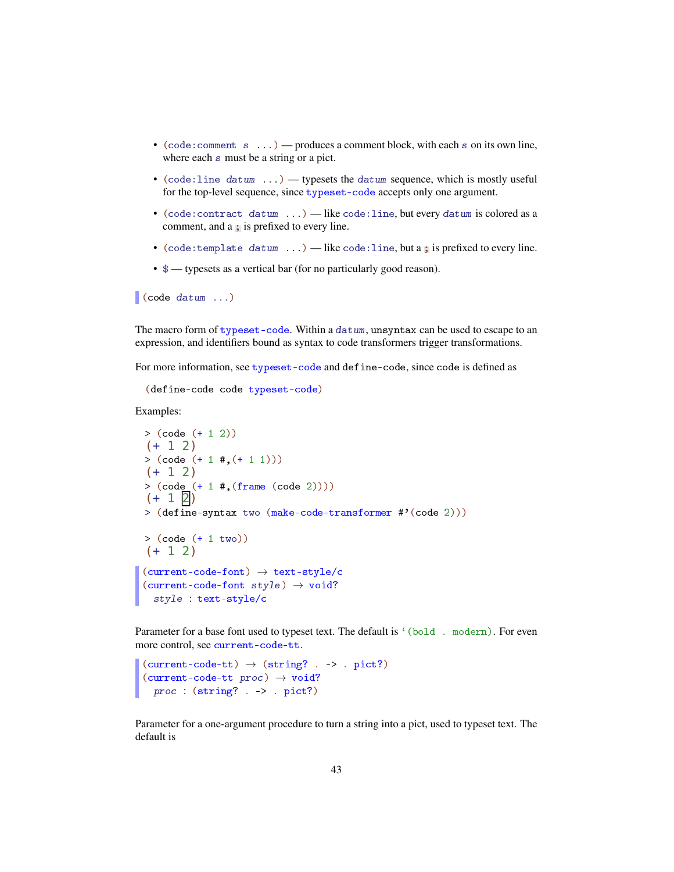- (code: comment  $s \dots$ ) produces a comment block, with each  $s$  on its own line, where each s must be a string or a pict.
- (code:line datum  $\ldots$ ) typesets the datum sequence, which is mostly useful for the top-level sequence, since typeset-code accepts only one argument.
- (code:contract datum ...) like code:line, but every datum is colored as a comment, and a ; is prefixed to every line.
- (code: template datum  $\ldots$ ) like code: line, but a; is prefixed to every line.
- \$ typesets as a vertical bar (for no particularly good reason).

 $\vert$  (code datum ...)

The macro form of typeset-code. Within a datum, unsyntax can be used to escape to an expression, and identifiers bound as syntax to code transformers trigger transformations.

For more information, see typeset-code and define-code, since code is defined as

```
(define-code code typeset-code)
```
Examples:

```
> (code (+ 1 2))
(+ 1 2)> (code (+ 1  #, (+ 1 1)))(+ 1 2)> (code (+ 1 #, (frame (code 2))))(+ 1 2)> (define-syntax two (make-code-transformer #'(code 2)))
> (code (+ 1 two))
(+ 1 2)(current-code-font) \rightarrow text-style/c(current-code-font style) \rightarrow void?style : text-style/c
```
Parameter for a base font used to typeset text. The default is '(bold . modern). For even more control, see current-code-tt.

```
(current-code-tt) \rightarrow (string? . -> . pict?)(current-code-tt proc) \rightarrow void?proc : (string? . -> . pict?)
```
Parameter for a one-argument procedure to turn a string into a pict, used to typeset text. The default is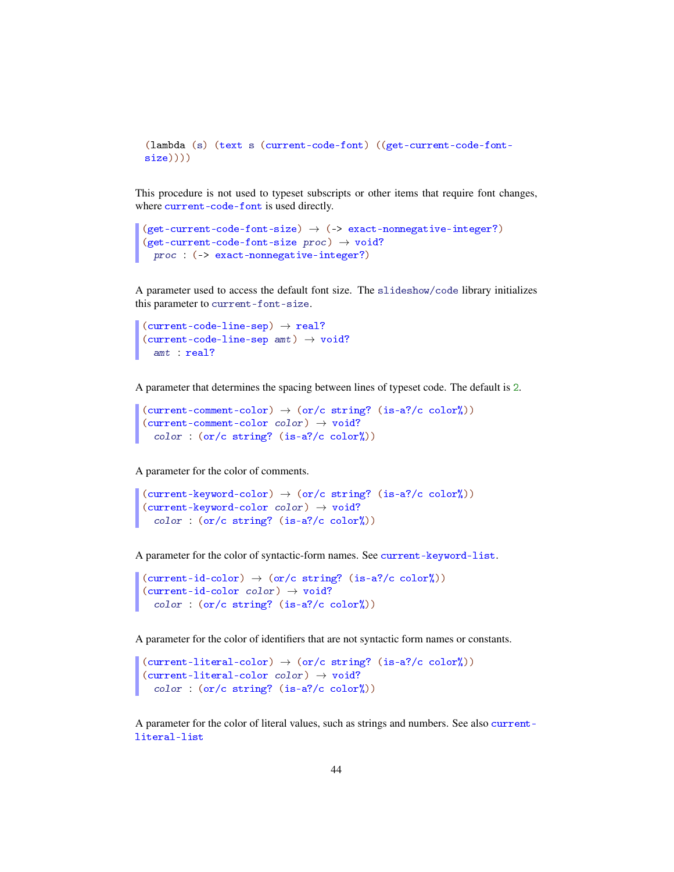```
(lambda (s) (text s (current-code-font) ((get-current-code-font-
size))))
```
This procedure is not used to typeset subscripts or other items that require font changes, where current-code-font is used directly.

```
(get-current-code-font-size) \rightarrow (-& exact-nonnegative-integer?)(get-current-code-font-size proc) \rightarrow void?proc : (-> exact-nonnegative-integer?)
```
A parameter used to access the default font size. The slideshow/code library initializes this parameter to current-font-size.

```
(current-code-line-sep) \rightarrow real?(current-code-line-sep amt) \rightarrow void?amt : real?
```
A parameter that determines the spacing between lines of typeset code. The default is 2.

```
(current-comment-color) \rightarrow (or/c string? (is-a?/c color'))(current-comment-color color) \rightarrow void?
  color : (or/c string? (is-a?/c color%))
```
A parameter for the color of comments.

```
(current-keyword-color) \rightarrow (or/c string? (is-a?/c color'))(current-keyword-color color) \rightarrow void?color('() : (or/c string? (is-a?/c color''_0))
```
A parameter for the color of syntactic-form names. See current-keyword-list.

```
(current-id-color) \rightarrow (or/c string? (is-a?/c color'))(current-id-color color) \rightarrow void?color : (or/c string? (is-a?/c color%))
```
A parameter for the color of identifiers that are not syntactic form names or constants.

```
(current-literal-color) \rightarrow (or/c string? (is-a?/c color'))(current-literal-color color) \rightarrow void?color : (or/c string? (is-a?/c color%))
```
A parameter for the color of literal values, such as strings and numbers. See also currentliteral-list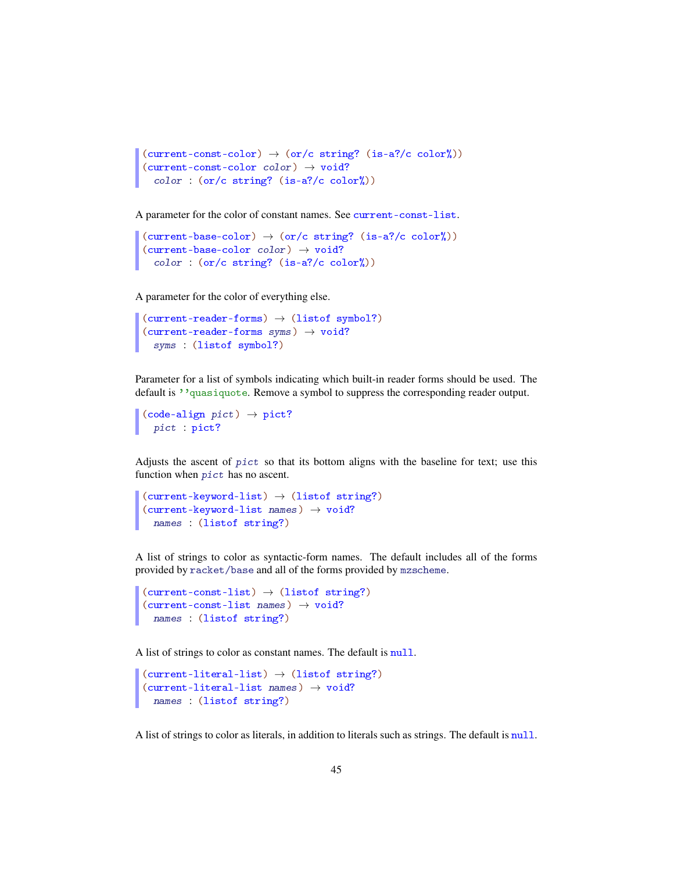```
(current-const-color) \rightarrow (or/c string? (is-a?/c color'))(current-const-color color) \rightarrow void?color : (or/c string? (is-a?/c color%))
```
A parameter for the color of constant names. See current-const-list.

```
(current-base-color) \rightarrow (or/c string? (is-a?/c color)))(current-base-color color) \rightarrow void?color : (or/c string? (is-a?/c color%))
```
A parameter for the color of everything else.

```
(current-reader-forms) \rightarrow (listof symbol?)(current-reader-forms syms) \rightarrow void?syms : (listof symbol?)
```
Parameter for a list of symbols indicating which built-in reader forms should be used. The default is ''quasiquote. Remove a symbol to suppress the corresponding reader output.

```
\vert (code-align pict) \rightarrow pict?
   pict : pict?
```
Adjusts the ascent of pict so that its bottom aligns with the baseline for text; use this function when pict has no ascent.

```
(current-keyword-list) \rightarrow (listof string?)
(current-keyword-list names) \rightarrow void?names : (listof string?)
```
A list of strings to color as syntactic-form names. The default includes all of the forms provided by racket/base and all of the forms provided by mzscheme.

```
(current-const-list) \rightarrow (listof string?)
(current-const-list names) \rightarrow void?names : (listof string?)
```
A list of strings to color as constant names. The default is null.

```
(current-literal-list) \rightarrow (listof string?)
(current-literal-list names) \rightarrow void?names : (listof string?)
```
A list of strings to color as literals, in addition to literals such as strings. The default is null.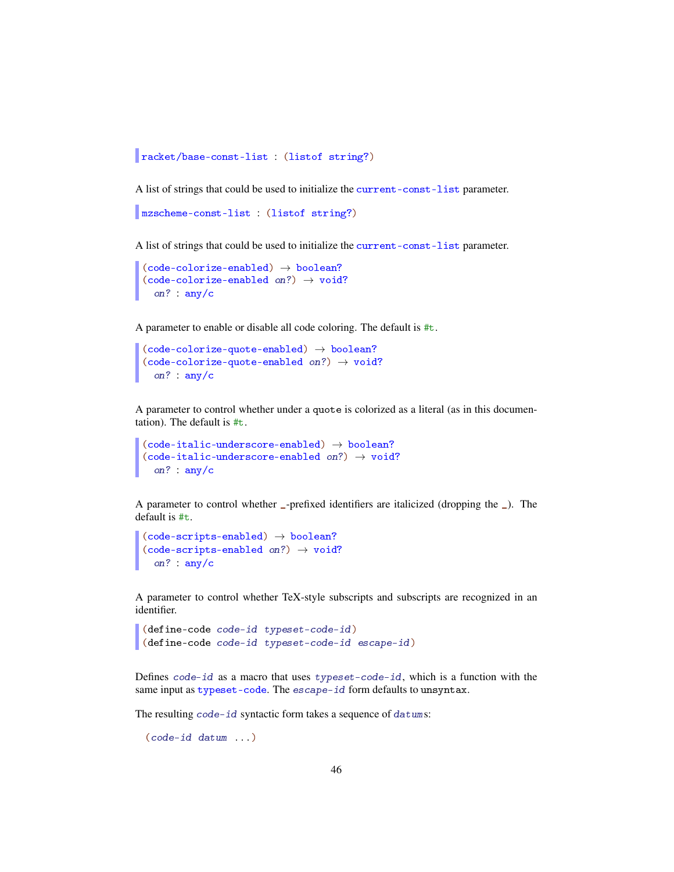```
racket/base-const-list : (listof string?)
```
A list of strings that could be used to initialize the current-const-list parameter.

```
mzscheme-const-list : (listof string?)
```
A list of strings that could be used to initialize the current-const-list parameter.

```
(code-colorize-enabled) \rightarrow boolean?(code-colorize-enabled on?) \rightarrow void?on? : any/c
```
A parameter to enable or disable all code coloring. The default is #t.

```
(code-colorize-quote-enabled) \rightarrow boolean?(code-colorize-quotient) \rightarrow void?on? : any/c
```
A parameter to control whether under a quote is colorized as a literal (as in this documentation). The default is #t.

```
(code-italic-underscore-enabled) \rightarrow boolean?(code-italic-underscore-enabled on?) \rightarrow void?on? : any/c
```
A parameter to control whether \_-prefixed identifiers are italicized (dropping the \_). The default is #t.

```
(code-scripts-enabled) \rightarrow boolean?(code-scripts-enabled on?) \rightarrow void?on? : any/c
```
A parameter to control whether TeX-style subscripts and subscripts are recognized in an identifier.

```
(define-code code-id typeset-code-id)
(define-code code-id typeset-code-id escape-id)
```
Defines  $\text{code-id}$  as a macro that uses typeset-code-id, which is a function with the same input as typeset-code. The escape-id form defaults to unsyntax.

The resulting code-id syntactic form takes a sequence of datums:

(code-id datum ...)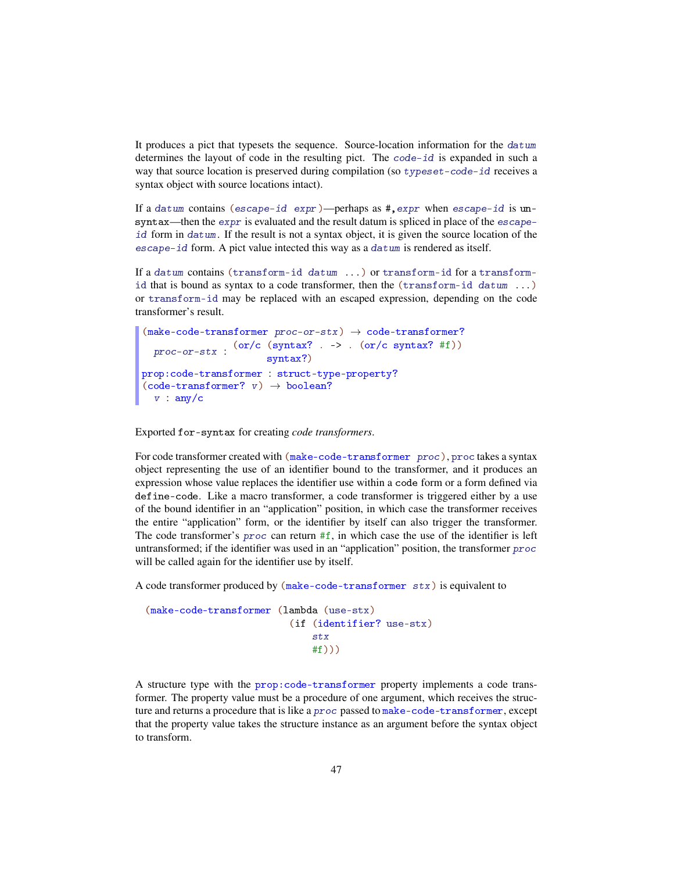It produces a pict that typesets the sequence. Source-location information for the datum determines the layout of code in the resulting pict. The code-id is expanded in such a way that source location is preserved during compilation (so typeset-code-id receives a syntax object with source locations intact).

If a datum contains (escape-id expr)—perhaps as  $\#$ , expr when escape-id is unsyntax—then the expr is evaluated and the result datum is spliced in place of the escapeid form in datum. If the result is not a syntax object, it is given the source location of the escape-id form. A pict value intected this way as a datum is rendered as itself.

If a datum contains (transform-id datum ...) or transform-id for a transformid that is bound as syntax to a code transformer, then the (transform-id datum ...) or transform-id may be replaced with an escaped expression, depending on the code transformer's result.

```
(make-code-transformer proc-or-stx) \rightarrow code-transformer?\text{proc-or-stx} : \frac{\text{(or/c (syntax? . -> .. (or/c syntax? #f))}}{\text{comtxa}^2}syntax?)
prop:code-transformer : struct-type-property?
(code-transformer? v) \rightarrow boolean?v : any/c
```
Exported for-syntax for creating *code transformers*.

For code transformer created with (make-code-transformer proc), proc takes a syntax object representing the use of an identifier bound to the transformer, and it produces an expression whose value replaces the identifier use within a code form or a form defined via define-code. Like a macro transformer, a code transformer is triggered either by a use of the bound identifier in an "application" position, in which case the transformer receives the entire "application" form, or the identifier by itself can also trigger the transformer. The code transformer's proc can return  $#f$ , in which case the use of the identifier is left untransformed; if the identifier was used in an "application" position, the transformer proc will be called again for the identifier use by itself.

A code transformer produced by (make-code-transformer stx) is equivalent to

```
(make-code-transformer (lambda (use-stx)
                         (if (identifier? use-stx)
                             stx
                             #f))
```
A structure type with the prop:code-transformer property implements a code transformer. The property value must be a procedure of one argument, which receives the structure and returns a procedure that is like a proc passed to make-code-transformer, except that the property value takes the structure instance as an argument before the syntax object to transform.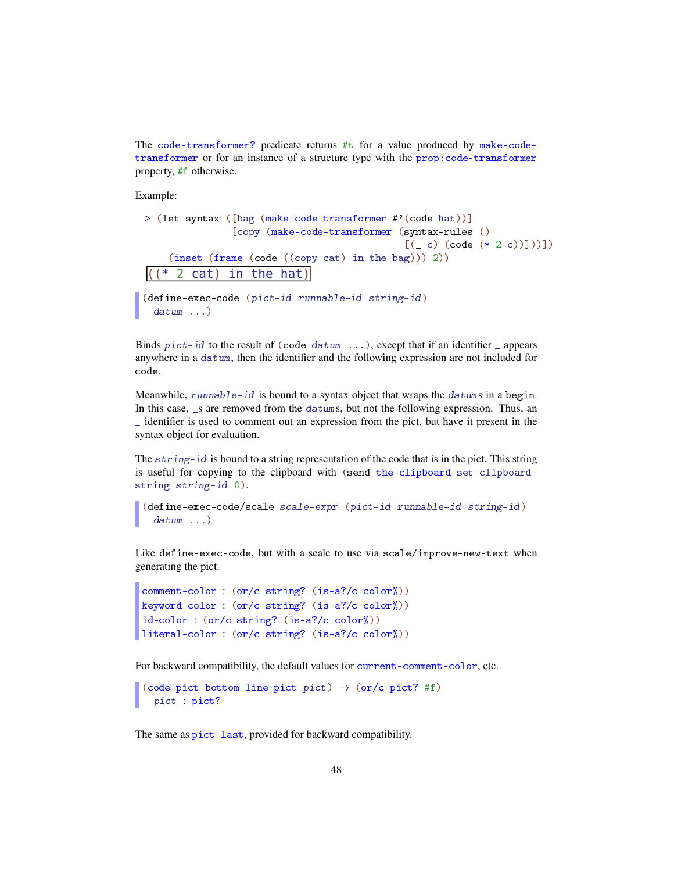The code-transformer? predicate returns #t for a value produced by make-codetransformer or for an instance of a structure type with the prop:code-transformer property, #f otherwise.

Example:

```
> (let-syntax ([bag (make-code-transformer #'(code hat))]
               [copy (make-code-transformer (syntax-rules ()
                                             [(-c) (code (* 2 c))])])]
    (inset (frame (code ((copy cat) in the bag))) 2))
((*) 2 cat) in the hat)
(define-exec-code (pict-id runnable-id string-id)
  datum \ldots)
```
Binds  $pict-id$  to the result of (code datum ...), except that if an identifier  $\Box$  appears anywhere in a datum, then the identifier and the following expression are not included for code.

Meanwhile, runnable-id is bound to a syntax object that wraps the datums in a begin. In this case, s are removed from the datums, but not the following expression. Thus, an \_ identifier is used to comment out an expression from the pict, but have it present in the syntax object for evaluation.

The string-id is bound to a string representation of the code that is in the pict. This string is useful for copying to the clipboard with (send the-clipboard set-clipboardstring string-id 0).

```
(define-exec-code/scale scale-expr (pict-id runnable-id string-id)
  datum ...)
```
Like define-exec-code, but with a scale to use via scale/improve-new-text when generating the pict.

```
comment-color : (or/c string? (is-a?/c color%))
keyword-color : (or/c string? (is-a?/c color%))
id-color : (or/c string? (is-a?/c color%))
literal-color : (or/c string? (is-a?/c color%))
```
For backward compatibility, the default values for current-comment-color, etc.

```
(code-pict-bottom-line-pict pict) \rightarrow (or/c pict?#f)
  pict : pict?
```
The same as pict-last, provided for backward compatibility.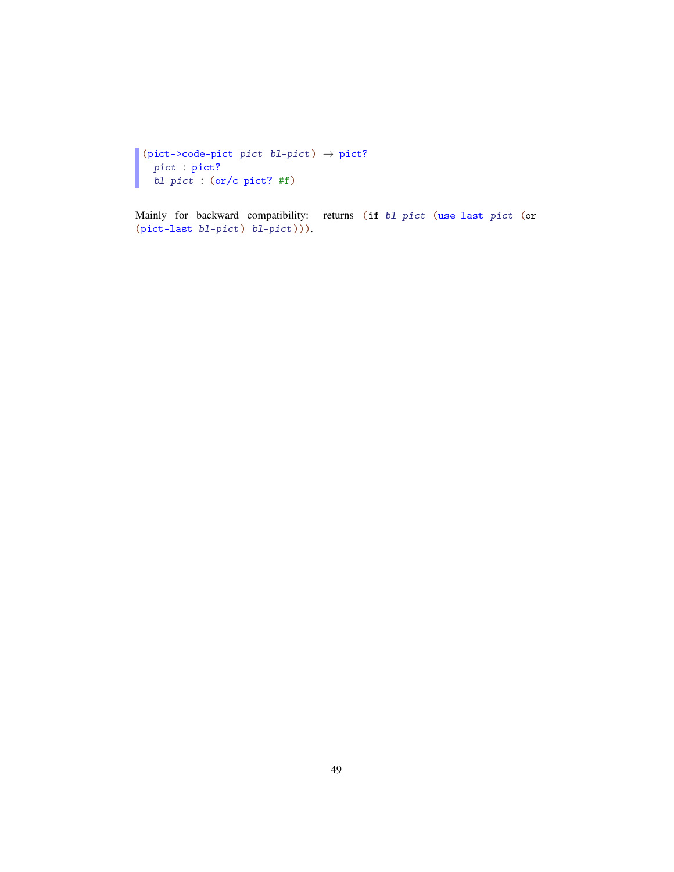```
(pict->code-pict pict bl-pict) \rightarrow pict?
  pict : pict?
  bl-pict : (or/c pict? #f)
```
Mainly for backward compatibility: returns (if bl-pict (use-last pict (or (pict-last bl-pict) bl-pict))).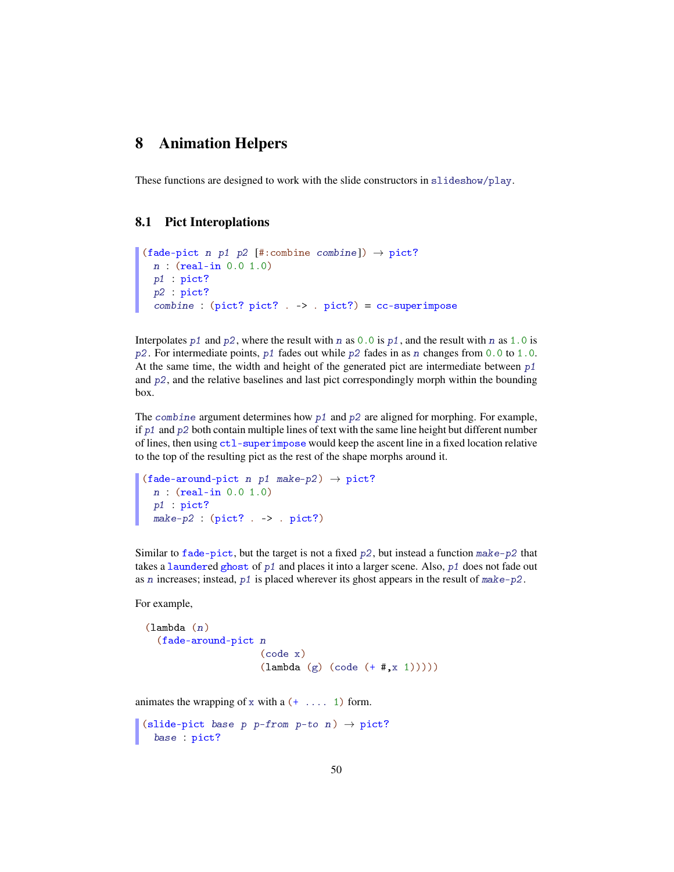# 8 Animation Helpers

These functions are designed to work with the slide constructors in slideshow/play.

#### 8.1 Pict Interoplations

```
(fade-pict n p1 p2 [#:combine combine]) \rightarrow pict?
 n : (real-in 0.0 1.0)
 p1 : pict?
 p2 : pict?
 combine: (pict? pict? . > . pict?) = cc-superimpose
```
Interpolates p1 and p2, where the result with n as  $0.0$  is p1, and the result with n as 1.0 is  $p2$ . For intermediate points,  $p1$  fades out while  $p2$  fades in as n changes from 0.0 to 1.0. At the same time, the width and height of the generated pict are intermediate between  $p1$ and  $p2$ , and the relative baselines and last pict correspondingly morph within the bounding box.

The combine argument determines how  $p1$  and  $p2$  are aligned for morphing. For example, if  $p_1$  and  $p_2$  both contain multiple lines of text with the same line height but different number of lines, then using ctl-superimpose would keep the ascent line in a fixed location relative to the top of the resulting pict as the rest of the shape morphs around it.

```
(fade-around-pict n p1 make-p2) \rightarrow pict?
 n : (real-in 0.0 1.0)
 p1 : pict?
 make-p2: (plot? . -> . pict?)
```
Similar to fade-pict, but the target is not a fixed  $p2$ , but instead a function make-p2 that takes a laundered ghost of  $p1$  and places it into a larger scene. Also,  $p1$  does not fade out as n increases; instead,  $p1$  is placed wherever its ghost appears in the result of make-p2.

For example,

```
(lambda (n)
 (fade-around-pict n
                    (code x)
                    (lambda (g) (code (+  #, x 1))))
```
animates the wrapping of x with a  $(+ \ldots 1)$  form.

```
(slide-pict base p p-from p-to n) \rightarrow pict?
  base : pict?
```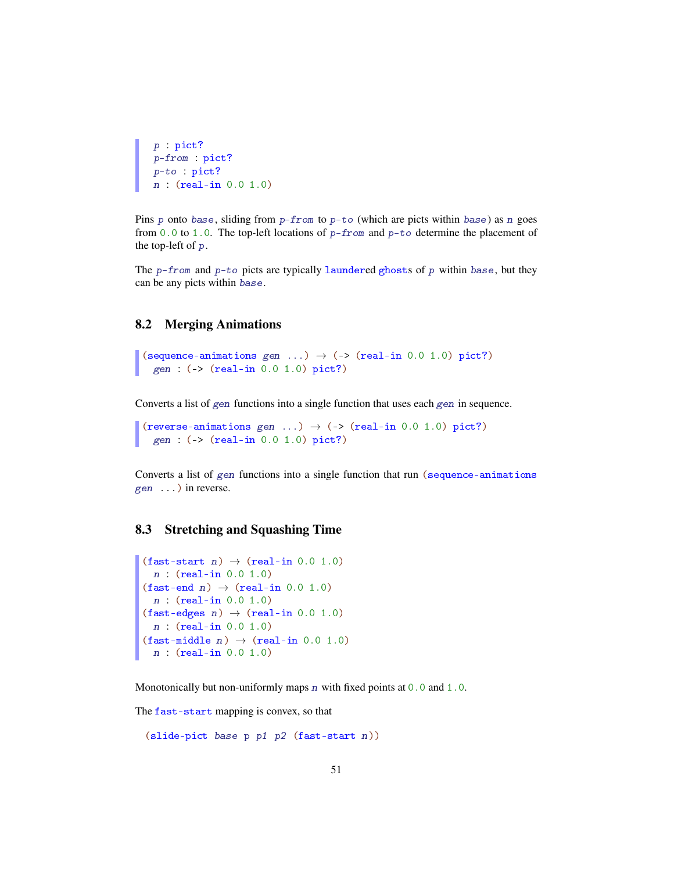```
p : pict?
p-from : pict?
p-to : pict?
n : (real-in 0.0 1.0)
```
Pins p onto base, sliding from  $p$ -from to  $p$ -to (which are picts within base) as n goes from 0.0 to 1.0. The top-left locations of  $p$ -from and  $p$ -to determine the placement of the top-left of p.

The  $p$ -from and  $p$ -to picts are typically laundered ghosts of p within base, but they can be any picts within base.

#### 8.2 Merging Animations

```
(sequence-animations gen ...) \rightarrow (-> (real-in 0.0 1.0) pict?)
  gen : (-> (real-in 0.0 1.0) pict?)
```
Converts a list of gen functions into a single function that uses each gen in sequence.

```
(reverse-animations gen ...) \rightarrow (-> (real-in 0.0 1.0) pict?)
  gen : (-> (real-in 0.0 1.0) pict?)
```
Converts a list of gen functions into a single function that run (sequence-animations gen ...) in reverse.

## 8.3 Stretching and Squashing Time

```
(fast-start n) \rightarrow (real-in 0.0 1.0)
  n : (real-in 0.0 1.0)
(fast-end n) \rightarrow (real-in 0.0 1.0)n : (real-in 0.0 1.0)
(fast-edges n) \rightarrow (real-in 0.0 1.0)n : (real-in 0.0 1.0)
(fast{-middle n}) \rightarrow (real-in 0.0 1.0)n : (real-in 0.0 1.0)
```
Monotonically but non-uniformly maps  $n$  with fixed points at  $0.0$  and  $1.0$ .

The fast-start mapping is convex, so that

```
(slide-pict base p p1 p2 (fast-start n))
```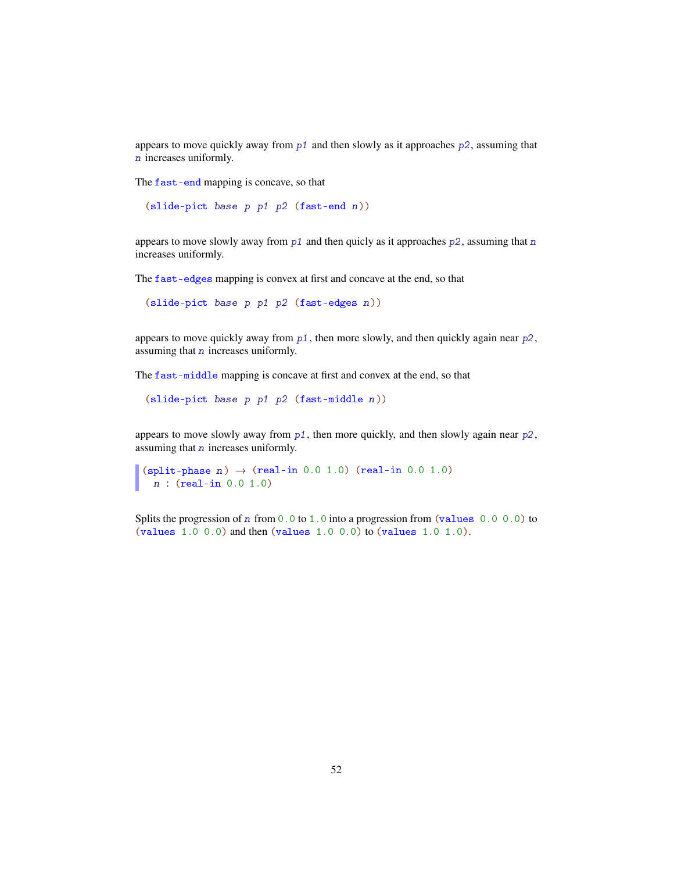appears to move quickly away from  $p1$  and then slowly as it approaches  $p2$ , assuming that n increases uniformly.

The fast-end mapping is concave, so that

```
(slide-pict base p p1 p2 (fast-end n))
```
appears to move slowly away from  $p1$  and then quicly as it approaches  $p2$ , assuming that n increases uniformly.

The fast-edges mapping is convex at first and concave at the end, so that

```
(slide-pict base p p1 p2 (fast-edges n))
```
appears to move quickly away from  $p1$ , then more slowly, and then quickly again near  $p2$ , assuming that n increases uniformly.

The fast-middle mapping is concave at first and convex at the end, so that

(slide-pict base p p1 p2 (fast-middle n))

appears to move slowly away from p1, then more quickly, and then slowly again near p2, assuming that n increases uniformly.

```
(split-phase n) \rightarrow (real-in 0.0 1.0) (real-in 0.0 1.0)
 n : (real-in 0.0 1.0)
```
Splits the progression of n from  $0.0$  to 1.0 into a progression from (values 0.0 0.0) to (values 1.0 0.0) and then (values 1.0 0.0) to (values 1.0 1.0).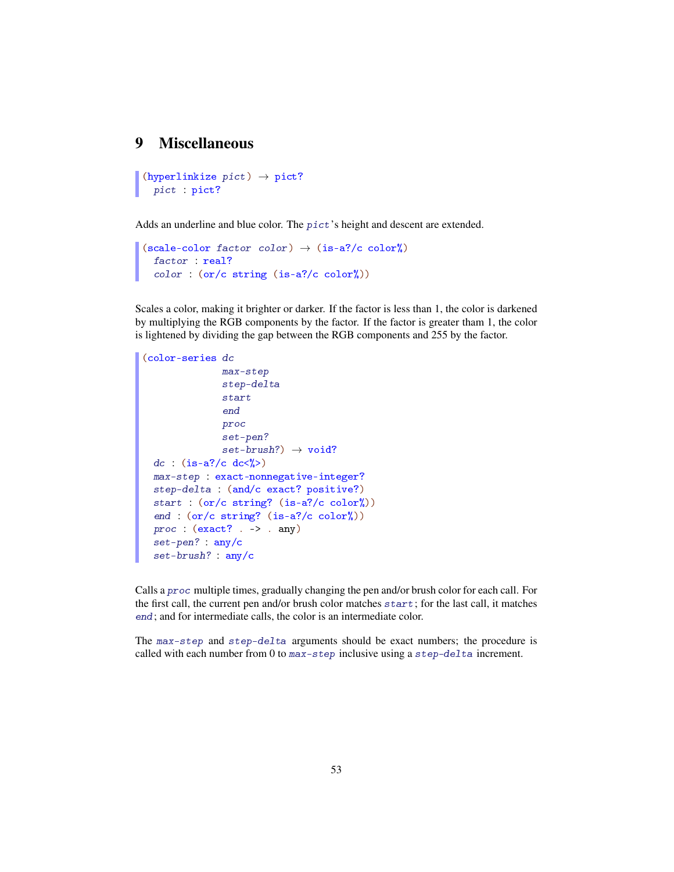## 9 Miscellaneous

```
(hyperlinkize pict) \rightarrow pict?pict : pict?
```
Adds an underline and blue color. The pict's height and descent are extended.

```
(scale-color factor color) \rightarrow (is-a?/c color%)
  factor : real?
  color : (or/c string (is-a?/c color%))
```
Scales a color, making it brighter or darker. If the factor is less than 1, the color is darkened by multiplying the RGB components by the factor. If the factor is greater tham 1, the color is lightened by dividing the gap between the RGB components and 255 by the factor.

```
(color-series dc
              max-step
              step-delta
              start
              end
              proc
              set-pen?
              set-brush?) \rightarrow void?dc : (is-a?/c dc<%>)
 max-step : exact-nonnegative-integer?
 step-delta : (and/c exact? positive?)
 start : (or/c string? (is-a?/c color%))
 end : (or/c string? (is-a?/c color%))
 proc : (exact? . > . any)set-pen? : any/c
 set-brush? : any/c
```
Calls a proc multiple times, gradually changing the pen and/or brush color for each call. For the first call, the current pen and/or brush color matches start; for the last call, it matches end; and for intermediate calls, the color is an intermediate color.

The max-step and step-delta arguments should be exact numbers; the procedure is called with each number from 0 to max-step inclusive using a step-delta increment.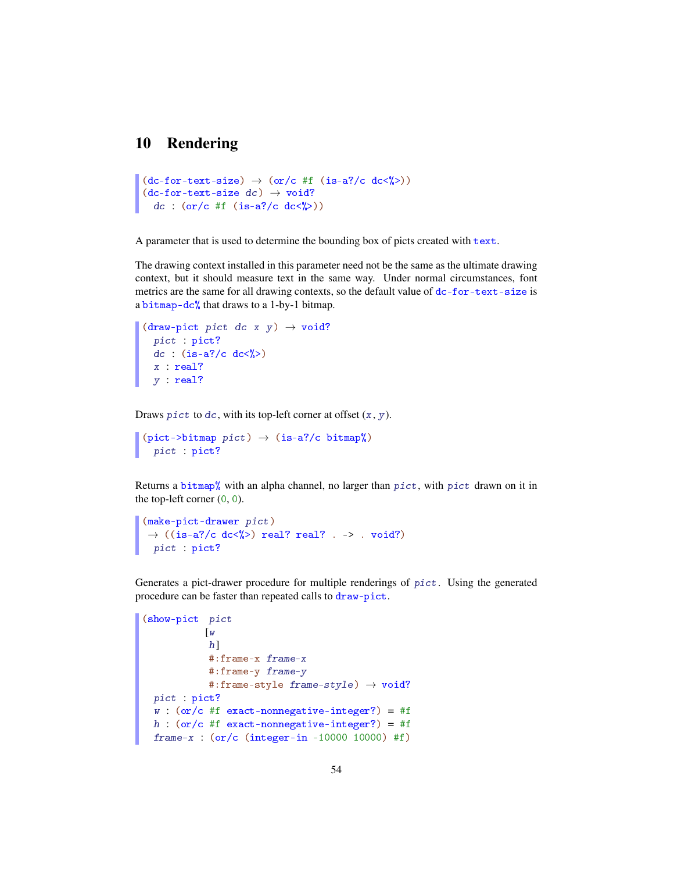# 10 Rendering

```
(dc-for-text-size) \rightarrow (or/c #f (is-a? /c dc/')')(dc-for-text-size dc) \rightarrow void?
  dc : (or/c #f (is-a]/c dc\langle\langle\rangle\rangle)
```
A parameter that is used to determine the bounding box of picts created with text.

The drawing context installed in this parameter need not be the same as the ultimate drawing context, but it should measure text in the same way. Under normal circumstances, font metrics are the same for all drawing contexts, so the default value of dc-for-text-size is a bitmap-dc% that draws to a 1-by-1 bitmap.

```
(draw-pict pict dc x y) \rightarrow void?
  pict : pict?
  dc : (is-a?/c dc<\!\!\!/\!\!\!/\!\!\!/)x : real?
  y : real?
```
Draws pict to  $dc$ , with its top-left corner at offset  $(x, y)$ .

```
(pict-> bitmap~pict) \rightarrow (is-a]/c~bitmap')pict : pict?
```
Returns a bitmap% with an alpha channel, no larger than  $picture$ , with  $picture$  drawn on it in the top-left corner  $(0, 0)$ .

```
(make-pict-drawer pict)
\rightarrow ((is-a?/c dc<%>) real? real? . -> . void?)
pict : pict?
```
Generates a pict-drawer procedure for multiple renderings of pict. Using the generated procedure can be faster than repeated calls to draw-pict.

```
(show-pict pict
           [w
            h<sup>]</sup>
            #:frame-x frame-x
            #:frame-y frame-y
            #:frame-style frame-style) \rightarrow void?
 pict : pict?
 w : (or/c #f exact-nonnegative-integer?) = #f
h : (or/c #f exact-nonnegative-integer?) = #f
 frame-x : (or/c (integer-in -10000 10000) #f)
```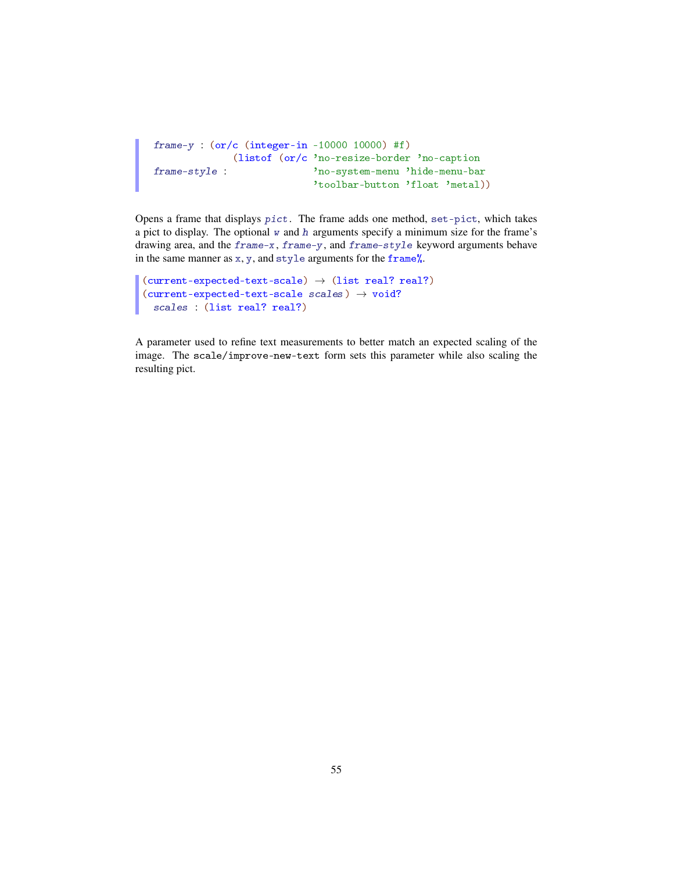```
frame-y : (or/c (integer-in -10000 10000) #f)
frame-style :
             (listof (or/c 'no-resize-border 'no-caption
                           'no-system-menu 'hide-menu-bar
                           'toolbar-button 'float 'metal))
```
Opens a frame that displays pict. The frame adds one method, set-pict, which takes a pict to display. The optional  $w$  and  $h$  arguments specify a minimum size for the frame's drawing area, and the frame-x, frame-y, and frame-style keyword arguments behave in the same manner as x, y, and style arguments for the frame%.

```
(current-expected-text-scale) \rightarrow (list real? real?)
(current-expected-text-scale scales) \rightarrow void?
  scales : (list real? real?)
```
A parameter used to refine text measurements to better match an expected scaling of the image. The scale/improve-new-text form sets this parameter while also scaling the resulting pict.